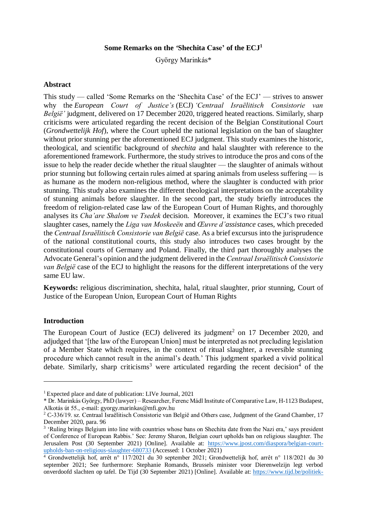### **Some Remarks on the** *'***Shechita Case' of the ECJ<sup>1</sup>**

György Marinkás\*

#### **Abstract**

This study — called 'Some Remarks on the 'Shechita Case' of the ECJ' — strives to answer why the *European Court of Justice's* (ECJ) *'Centraal Israëlitisch Consistorie van België'* judgment, delivered on 17 December 2020, triggered heated reactions. Similarly, sharp criticisms were articulated regarding the recent decision of the Belgian Constitutional Court (*Grondwettelijk Hof*), where the Court upheld the national legislation on the ban of slaughter without prior stunning per the aforementioned ECJ judgment. This study examines the historic, theological, and scientific background of *shechita* and halal slaughter with reference to the aforementioned framework. Furthermore, the study strives to introduce the pros and cons of the issue to help the reader decide whether the ritual slaughter — the slaughter of animals without prior stunning but following certain rules aimed at sparing animals from useless suffering — is as humane as the modern non-religious method, where the slaughter is conducted with prior stunning. This study also examines the different theological interpretations on the acceptability of stunning animals before slaughter. In the second part, the study briefly introduces the freedom of religion-related case law of the European Court of Human Rights, and thoroughly analyses its *Cha'are Shalom ve Tsedek* decision. Moreover, it examines the ECJ's two ritual slaughter cases, namely the *Liga van Moskeeën* and *Œuvre d'assistance* cases, which preceded the *Centraal Israëlitisch Consistorie van België* case. As a brief excursus into the jurisprudence of the national constitutional courts, this study also introduces two cases brought by the constitutional courts of Germany and Poland. Finally, the third part thoroughly analyses the Advocate General's opinion and the judgment delivered in the *Centraal Israëlitisch Consistorie van België* case of the ECJ to highlight the reasons for the different interpretations of the very same EU law.

**Keywords:** religious discrimination, shechita, halal, ritual slaughter, prior stunning, Court of Justice of the European Union, European Court of Human Rights

#### **Introduction**

**.** 

The European Court of Justice (ECJ) delivered its judgment<sup>2</sup> on 17 December 2020, and adjudged that '[the law of the European Union] must be interpreted as not precluding legislation of a Member State which requires, in the context of ritual slaughter, a reversible stunning procedure which cannot result in the animal's death.' This judgment sparked a vivid political debate. Similarly, sharp criticisms<sup>3</sup> were articulated regarding the recent decision<sup>4</sup> of the

<sup>1</sup> Expected place and date of publication: LIVe Journal, 2021

<sup>\*</sup> Dr. Marinkás György, PhD (lawyer) – Researcher, Ferenc Mádl Institute of Comparative Law, H-1123 Budapest, Alkotás út 55., e-mail: gyorgy.marinkas@mfi.gov.hu

<sup>2</sup> C-336/19. sz. Centraal Israëlitisch Consistorie van België and Others case, Judgment of the Grand Chamber, 17 December 2020, para. 96

<sup>&</sup>lt;sup>3</sup> 'Ruling brings Belgium into line with countries whose bans on Shechita date from the Nazi era,' says president of Conference of European Rabbis.' See: Jeremy Sharon, Belgian court upholds ban on religious slaughter. The Jerusalem Post (30 September 2021) [Online]. Available at: [https://www.jpost.com/diaspora/belgian-court](https://www.jpost.com/diaspora/belgian-court-upholds-ban-on-religious-slaughter-680733)[upholds-ban-on-religious-slaughter-680733](https://www.jpost.com/diaspora/belgian-court-upholds-ban-on-religious-slaughter-680733) (Accessed: 1 October 2021)

<sup>&</sup>lt;sup>4</sup> Grondwettelijk hof, arrêt n° 117/2021 du 30 september 2021; Grondwettelijk hof, arrêt n° 118/2021 du 30 september 2021; See furthermore: Stephanie Romands, Brussels minister voor Dierenwelzijn legt verbod onverdoofd slachten op tafel. De Tijd (30 September 2021) [Online]. Available at: [https://www.tijd.be/politiek-](https://www.tijd.be/politiek-economie/belgie-brussel/Brussels-minister-voor-Dierenwelzijn-legt-verbod-onverdoofd-slachten-op-tafel/10335743)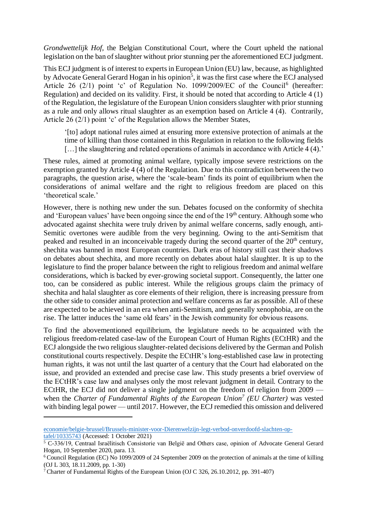*Grondwettelijk Hof,* the Belgian Constitutional Court*,* where the Court upheld the national legislation on the ban of slaughter without prior stunning per the aforementioned ECJ judgment.

This ECJ judgment is of interest to experts in European Union (EU) law, because, as highlighted by Advocate General Gerard Hogan in his opinion<sup>5</sup>, it was the first case where the ECJ analysed Article 26 (2/1) point 'c' of Regulation No. 1099/2009/EC of the Council<sup>6</sup> (hereafter: Regulation) and decided on its validity. First, it should be noted that according to Article 4 (1) of the Regulation, the legislature of the European Union considers slaughter with prior stunning as a rule and only allows ritual slaughter as an exemption based on Article 4 (4)*.* Contrarily, Article 26 (2/1) point 'c' of the Regulation allows the Member States,

'[to] adopt national rules aimed at ensuring more extensive protection of animals at the time of killing than those contained in this Regulation in relation to the following fields [...] the slaughtering and related operations of animals in accordance with Article 4 (4).'

These rules, aimed at promoting animal welfare, typically impose severe restrictions on the exemption granted by Article 4 (4) of the Regulation. Due to this contradiction between the two paragraphs, the question arise, where the 'scale-beam' finds its point of equilibrium when the considerations of animal welfare and the right to religious freedom are placed on this 'theoretical scale.'

However, there is nothing new under the sun. Debates focused on the conformity of shechita and 'European values' have been ongoing since the end of the  $19<sup>th</sup>$  century. Although some who advocated against shechita were truly driven by animal welfare concerns, sadly enough, anti-Semitic overtones were audible from the very beginning. Owing to the anti-Semitism that peaked and resulted in an inconceivable tragedy during the second quarter of the  $20<sup>th</sup>$  century, shechita was banned in most European countries. Dark eras of history still cast their shadows on debates about shechita, and more recently on debates about halal slaughter. It is up to the legislature to find the proper balance between the right to religious freedom and animal welfare considerations, which is backed by ever-growing societal support. Consequently, the latter one too, can be considered as public interest*.* While the religious groups claim the primacy of shechita and halal slaughter as core elements of their religion, there is increasing pressure from the other side to consider animal protection and welfare concerns as far as possible. All of these are expected to be achieved in an era when anti-Semitism, and generally xenophobia, are on the rise. The latter induces the 'same old fears' in the Jewish community for obvious reasons.

To find the abovementioned equilibrium, the legislature needs to be acquainted with the religious freedom-related case-law of the European Court of Human Rights (ECtHR) and the ECJ alongside the two religious slaughter-related decisions delivered by the German and Polish constitutional courts respectively. Despite the ECtHR's long-established case law in protecting human rights, it was not until the last quarter of a century that the Court had elaborated on the issue, and provided an extended and precise case law. This study presents a brief overview of the ECtHR's case law and analyses only the most relevant judgment in detail. Contrary to the ECtHR, the ECJ did not deliver a single judgment on the freedom of religion from 2009 when the *Charter of Fundamental Rights of the European Union<sup>7</sup> (EU Charter)* was vested with binding legal power — until 2017. However, the ECJ remedied this omission and delivered

-

[economie/belgie-brussel/Brussels-minister-voor-Dierenwelzijn-legt-verbod-onverdoofd-slachten-op](https://www.tijd.be/politiek-economie/belgie-brussel/Brussels-minister-voor-Dierenwelzijn-legt-verbod-onverdoofd-slachten-op-tafel/10335743)[tafel/10335743](https://www.tijd.be/politiek-economie/belgie-brussel/Brussels-minister-voor-Dierenwelzijn-legt-verbod-onverdoofd-slachten-op-tafel/10335743) (Accessed: 1 October 2021)

<sup>5</sup> C-336/19, Centraal Israëlitisch Consistorie van België and Others case, opinion of Advocate General Gerard Hogan, 10 September 2020, para. 13.

<sup>6</sup> Council Regulation (EC) No 1099/2009 of 24 September 2009 on the protection of animals at the time of killing (OJ L 303, 18.11.2009, pp. 1-30)

 $\overrightarrow{7}$  Charter of Fundamental Rights of the European Union (OJ C 326, 26.10.2012, pp. 391-407)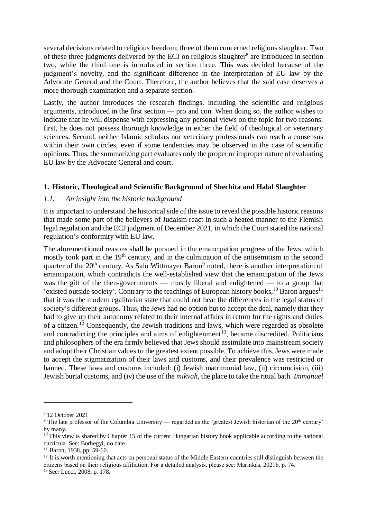several decisions related to religious freedom; three of them concerned religious slaughter. Two of these three judgments delivered by the ECJ on religious slaughter<sup>8</sup> are introduced in section two, while the third one is introduced in section three. This was decided because of the judgment's novelty, and the significant difference in the interpretation of EU law by the Advocate General and the Court. Therefore, the author believes that the said case deserves a more thorough examination and a separate section.

Lastly, the author introduces the research findings, including the scientific and religious arguments, introduced in the first section — pro and con. When doing so, the author wishes to indicate that he will dispense with expressing any personal views on the topic for two reasons: first, he does not possess thorough knowledge in either the field of theological or veterinary sciences. Second, neither Islamic scholars nor veterinary professionals can reach a consensus within their own circles, even if some tendencies may be observed in the case of scientific opinions. Thus, the summarizing part evaluates only the proper or improper nature of evaluating EU law by the Advocate General and court.

# **1. Historic, Theological and Scientific Background of Shechita and Halal Slaughter**

## *1.1. An insight into the historic background*

It is important to understand the historical side of the issue to reveal the possible historic reasons that made some part of the believers of Judaism react in such a heated manner to the Flemish legal regulation and the ECJ judgment of December 2021, in which the Court stated the national regulation's conformity with EU law.

The aforementioned reasons shall be pursued in the emancipation progress of the Jews, which mostly took part in the 19<sup>th</sup> century, and in the culmination of the antisemitism in the second quarter of the 20<sup>th</sup> century. As Salo Wittmayer Baron<sup>9</sup> noted, there is another interpretation of emancipation, which contradicts the well-established view that the emancipation of the Jews was the gift of the then-governments — mostly liberal and enlightened — to a group that 'existed outside society'. Contrary to the teachings of European history books,  $10^{\circ}$  Baron argues<sup>11</sup> that it was the modern egalitarian state that could not bear the differences in the legal status of society's different groups. Thus, the Jews had no option but to accept the deal, namely that they had to give up their autonomy related to their internal affairs in return for the rights and duties of a citizen.<sup>12</sup> Consequently, the Jewish traditions and laws, which were regarded as obsolete and contradicting the principles and aims of enlightenment<sup>13</sup>, became discredited. Politicians and philosophers of the era firmly believed that Jews should assimilate into mainstream society and adopt their Christian values to the greatest extent possible. To achieve this, Jews were made to accept the stigmatization of their laws and customs, and their prevalence was restricted or banned. These laws and customs included: (i) Jewish matrimonial law, (ii) circumcision, (iii) Jewish burial customs, and (iv) the use of the *mikvah*, the place to take the ritual bath. *Immanuel* 

<sup>8</sup> 12 October 2021

<sup>&</sup>lt;sup>9</sup> The late professor of the Columbia University — regarded as the 'greatest Jewish historian of the  $20<sup>th</sup>$  century' by many.

<sup>&</sup>lt;sup>10</sup> This view is shared by Chapter 15 of the current Hungarian history book applicable according to the national curricula. See: Borhegyi, no date

<sup>11</sup> Baron, 1938, pp. 59-60.

 $12$  It is worth mentioning that acts on personal status of the Middle Eastern countries still distinguish between the citizens based on their religious affiliation. For a detailed analysis, please see: Marinkás, 2021b, p. 74.

<sup>13</sup> See: Lucci, 2008, p. 178.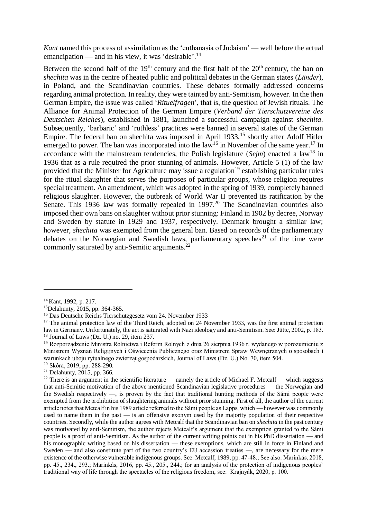*Kant* named this process of assimilation as the 'euthanasia of Judaism' — well before the actual emancipation — and in his view, it was 'desirable'.<sup>14</sup>

Between the second half of the  $19<sup>th</sup>$  century and the first half of the  $20<sup>th</sup>$  century, the ban on *shechita* was in the centre of heated public and political debates in the German states (*Länder*), in Poland, and the Scandinavian countries*.* These debates formally addressed concerns regarding animal protection. In reality, they were tainted by anti-Semitism, however. In the then German Empire, the issue was called '*Rituelfragen*', that is, the question of Jewish rituals. The Alliance for Animal Protection of the German Empire (*Verband der Tierschutzvereine des Deutschen Reiches*), established in 1881, launched a successful campaign against *shechita*. Subsequently, 'barbaric' and 'ruthless' practices were banned in several states of the German Empire. The federal ban on shechita was imposed in April 1933,<sup>15</sup> shortly after Adolf Hitler emerged to power. The ban was incorporated into the law<sup>16</sup> in November of the same year.<sup>17</sup> In accordance with the mainstream tendencies, the Polish legislature (*Sejm*) enacted a law<sup>18</sup> in 1936 that as a rule required the prior stunning of animals. However, Article 5 (1) of the law provided that the Minister for Agriculture may issue a regulation<sup>19</sup> establishing particular rules for the ritual slaughter that serves the purposes of particular groups, whose religion requires special treatment. An amendment, which was adopted in the spring of 1939, completely banned religious slaughter. However, the outbreak of World War II prevented its ratification by the Senate. This 1936 law was formally repealed in  $1997<sup>20</sup>$  The Scandinavian countries also imposed their own bans on slaughter without prior stunning: Finland in 1902 by decree, Norway and Sweden by statute in 1929 and 1937, respectively. Denmark brought a similar law; however*, shechita* was exempted from the general ban. Based on records of the parliamentary debates on the Norwegian and Swedish laws, parliamentary speeches<sup>21</sup> of the time were commonly saturated by anti-Semitic arguments.<sup>22</sup>

<sup>14</sup> Kant, 1992, p. 217.

<sup>15</sup>Delahunty, 2015, pp. 364-365.

<sup>16</sup> Das Deutsche Reichs Tierschutzgesetz vom 24. November 1933

<sup>&</sup>lt;sup>17</sup> The animal protection law of the Third Reich, adopted on 24 November 1933, was the first animal protection law in Germany. Unfortunately, the act is saturated with Nazi ideology and anti-Semitism. See: Jütte, 2002, p. 183. <sup>18</sup> Journal of Laws (Dz. U.) no. 29, item 237.

<sup>19</sup> Rozporządzenie Ministra Rolnictwa i Reform Rolnych z dnia 26 sierpnia 1936 r. wydanego w porozumieniu z Ministrem Wyznań Religijnych i Oświecenia Publicznego oraz Ministrem Spraw Wewnętrznych o sposobach i warunkach uboju rytualnego zwierząt gospodarskich, Journal of Laws (Dz. U.) No. 70, item 504.

<sup>20</sup> Skóra, 2019, pp. 288-290.

 $21$  Delahunty, 2015, pp. 366.

<sup>&</sup>lt;sup>22</sup> There is an argument in the scientific literature — namely the article of Michael F. Metcalf — which suggests that anti-Semitic motivation of the above mentioned Scandinavian legislative procedures — the Norwegian and the Swedish respectively —, is proven by the fact that traditional hunting methods of the Sámi people were exempted from the prohibition of slaughtering animals without prior stunning. First of all, the author of the current article notes that Metcalf in his 1989 article referred to the Sámi people as Lapps, which —however was commonly used to name them in the past — is an offensive exonym used by the majority population of their respective countries. Secondly, while the author agrees with Metcalf that the Scandinavian ban on *shechita* in the past century was motivated by anti-Semitism, the author rejects Metcalf's argument that the exemption granted to the Sámi people is a proof of anti-Semitism. As the author of the current writing points out in his PhD dissertation — and his monographic writing based on his dissertation — these exemptions, which are still in force in Finland and Sweden — and also constitute part of the two country's EU accession treaties —, are necessary for the mere existence of the otherwise vulnerable indigenous groups. See: Metcalf, 1989, pp. 47-48.; See also: Marinkás, 2018, pp. 45., 234., 293.; Marinkás, 2016, pp. 45., 205., 244.; for an analysis of the protection of indigenous peoples' traditional way of life through the spectacles of the religious freedom, see: Krajnyák, 2020, p. 100.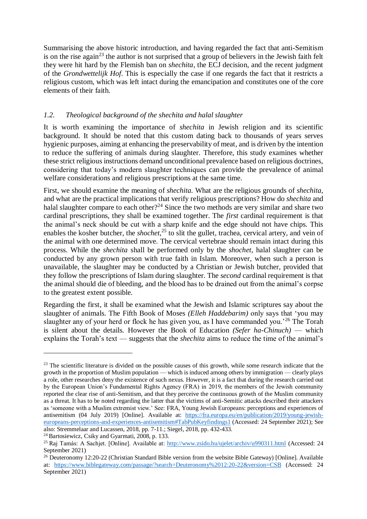Summarising the above historic introduction, and having regarded the fact that anti-Semitism is on the rise again<sup>23</sup> the author is not surprised that a group of believers in the Jewish faith felt they were hit hard by the Flemish ban on *shechita,* the ECJ decision, and the recent judgment of the *Grondwettelijk Hof*. This is especially the case if one regards the fact that it restricts a religious custom, which was left intact during the emancipation and constitutes one of the core elements of their faith.

# *1.2. Theological background of the shechita and halal slaughter*

It is worth examining the importance of *shechita* in Jewish religion and its scientific background. It should be noted that this custom dating back to thousands of years serves hygienic purposes, aiming at enhancing the preservability of meat, and is driven by the intention to reduce the suffering of animals during slaughter. Therefore, this study examines whether these strict religious instructions demand unconditional prevalence based on religious doctrines, considering that today's modern slaughter techniques can provide the prevalence of animal welfare considerations and religious prescriptions at the same time.

First, we should examine the meaning of *shechita.* What are the religious grounds of *shechita,* and what are the practical implications that verify religious prescriptions? How do *shechita* and halal slaughter compare to each other?<sup>24</sup> Since the two methods are very similar and share two cardinal prescriptions, they shall be examined together. The *first* cardinal requirement is that the animal's neck should be cut with a sharp knife and the edge should not have chips. This enables the kosher butcher, the *shochet*, <sup>25</sup> to slit the gullet*,* trachea, cervical artery, and vein of the animal with one determined move*.* The cervical vertebrae should remain intact during this process. While the *shechita* shall be performed only by the *shochet*, halal slaughter can be conducted by any grown person with true faith in Islam. Moreover, when such a person is unavailable, the slaughter may be conducted by a Christian or Jewish butcher, provided that they follow the prescriptions of Islam during slaughter. The *second* cardinal requirement is that the animal should die of bleeding, and the blood has to be drained out from the animal's corpse to the greatest extent possible.

Regarding the first, it shall be examined what the Jewish and Islamic scriptures say about the slaughter of animals. The Fifth Book of Moses *(Elleh Haddebarim)* only says that 'you may slaughter any of your herd or flock he has given you, as I have commanded you.<sup>26</sup> The Torah is silent about the details*.* However the Book of Education *(Sefer ha-Chinuch)* — which explains the Torah's text — suggests that the *shechita* aims to reduce the time of the animal's

<sup>&</sup>lt;sup>23</sup> The scientific literature is divided on the possible causes of this growth, while some research indicate that the growth in the proportion of Muslim population — which is induced among others by immigration — clearly plays a role, other researches deny the existence of such nexus. However, it is a fact that during the research carried out by the European Union's Fundamental Rights Agency (FRA) in 2019, the members of the Jewish community reported the clear rise of anti-Semitism, and that they perceive the continuous growth of the Muslim community as a threat. It has to be noted regarding the latter that the victims of anti-Semitic attacks described their attackers as 'someone with a Muslim extremist view.' See: FRA, Young Jewish Europeans: perceptions and experiences of antisemitism (04 July 2019) [Online]. Available at: [https://fra.europa.eu/en/publication/2019/young-jewish](https://fra.europa.eu/en/publication/2019/young-jewish-europeans-perceptions-and-experiences-antisemitism#TabPubKeyfindings1)[europeans-perceptions-and-experiences-antisemitism#TabPubKeyfindings1](https://fra.europa.eu/en/publication/2019/young-jewish-europeans-perceptions-and-experiences-antisemitism#TabPubKeyfindings1) (Accessed: 24 September 2021); See also: Stremmelaar and Lucassen, 2018, pp. 7-11.; Siegel, 2018, pp. 432-433.

<sup>24</sup> Bartosiewicz, Csiky and Gyarmati, 2008, p. 133.

<sup>25</sup> Raj Tamás: A Sachjet. [Online]. Available at:<http://www.zsido.hu/ujelet/archiv/u990311.html> (Accessed: 24 September 2021)

<sup>&</sup>lt;sup>26</sup> Deuteronomy 12:20-22 (Christian Standard Bible version from the website Bible Gateway) [Online]. Available at: <https://www.biblegateway.com/passage/?search=Deuteronomy%2012:20-22&version=CSB> (Accessed: 24 September 2021)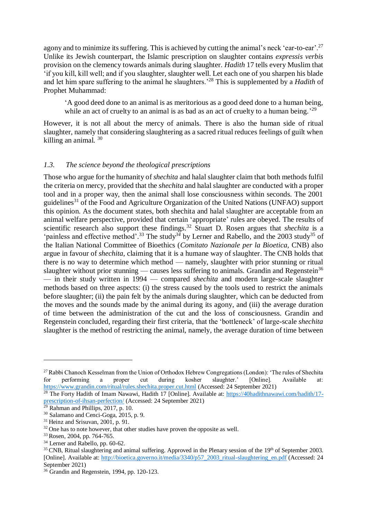agony and to minimize its suffering. This is achieved by cutting the animal's neck 'ear-to-ear'.<sup>27</sup> Unlike its Jewish counterpart, the Islamic prescription on slaughter contains *expressis verbis* provision on the clemency towards animals during slaughter. *Hadith* 17 tells every Muslim that 'if you kill, kill well; and if you slaughter, slaughter well. Let each one of you sharpen his blade and let him spare suffering to the animal he slaughters.'<sup>28</sup> This is supplemented by a *Hadith* of Prophet Muhammad:

'A good deed done to an animal is as meritorious as a good deed done to a human being, while an act of cruelty to an animal is as bad as an act of cruelty to a human being.<sup>'29</sup>

However, it is not all about the mercy of animals. There is also the human side of ritual slaughter, namely that considering slaughtering as a sacred ritual reduces feelings of guilt when killing an animal. <sup>30</sup>

## *1.3. The science beyond the theological prescriptions*

Those who argue for the humanity of *shechita* and halal slaughter claim that both methods fulfil the criteria on mercy, provided that the *shechita* and halal slaughter are conducted with a proper tool and in a proper way, then the animal shall lose consciousness within seconds. The 2001 guidelines<sup>31</sup> of the Food and Agriculture Organization of the United Nations (UNFAO) support this opinion. As the document states, both shechita and halal slaughter are acceptable from an animal welfare perspective, provided that certain 'appropriate' rules are obeyed. The results of scientific research also support these findings. <sup>32</sup> Stuart D. Rosen argues that *shechita* is a 'painless and effective method'.<sup>33</sup> The study<sup>34</sup> by Lerner and Rabello, and the 2003 study<sup>35</sup> of the Italian National Committee of Bioethics (*Comitato Nazionale per la Bioetica,* CNB) also argue in favour of *shechita*, claiming that it is a humane way of slaughter. The CNB holds that there is no way to determine which method — namely, slaughter with prior stunning or ritual slaughter without prior stunning — causes less suffering to animals. Grandin and Regenstein<sup>36</sup> — in their study written in 1994 — compared *shechita* and modern large-scale slaughter methods based on three aspects: (i) the stress caused by the tools used to restrict the animals before slaughter; (ii) the pain felt by the animals during slaughter, which can be deducted from the moves and the sounds made by the animal during its agony, and (iii) the average duration of time between the administration of the cut and the loss of consciousness. Grandin and Regenstein concluded, regarding their first criteria, that the 'bottleneck' of large-scale *shechita* slaughter is the method of restricting the animal, namely, the average duration of time between

<sup>&</sup>lt;sup>27</sup> Rabbi Chanoch Kesselman from the Union of Orthodox Hebrew Congregations (London): 'The rules of Shechita for performing a proper cut during kosher slaughter.' [Online]. Available at: <https://www.grandin.com/ritual/rules.shechita.proper.cut.html> (Accessed: 24 September 2021)

<sup>&</sup>lt;sup>28</sup> The Forty Hadith of Imam Nawawi, Hadith 17 [Online]. Available at: [https://40hadithnawawi.com/hadith/17](https://40hadithnawawi.com/hadith/17-prescription-of-ihsan-perfection/) [prescription-of-ihsan-perfection/](https://40hadithnawawi.com/hadith/17-prescription-of-ihsan-perfection/) (Accessed: 24 September 2021)

 $29$  Rahman and Phillips, 2017, p. 10.

<sup>30</sup> Salamano and Cenci-Goga, 2015, p. 9.

<sup>&</sup>lt;sup>31</sup> Heinz and Srisuvan, 2001, p. 91.

 $32$  One has to note however, that other studies have proven the opposite as well.

<sup>33</sup> Rosen, 2004, pp. 764-765.

<sup>&</sup>lt;sup>34</sup> Lerner and Rabello, pp. 60-62.

<sup>&</sup>lt;sup>35</sup> CNB, Ritual slaughtering and animal suffering. Approved in the Plenary session of the 19<sup>th</sup> of September 2003. [Online]. Available at: [http://bioetica.governo.it/media/3340/p57\\_2003\\_ritual-slaughtering\\_en.pdf](http://bioetica.governo.it/media/3340/p57_2003_ritual-slaughtering_en.pdf) (Accessed: 24 September 2021)

 $36$  Grandin and Regenstein, 1994, pp. 120-123.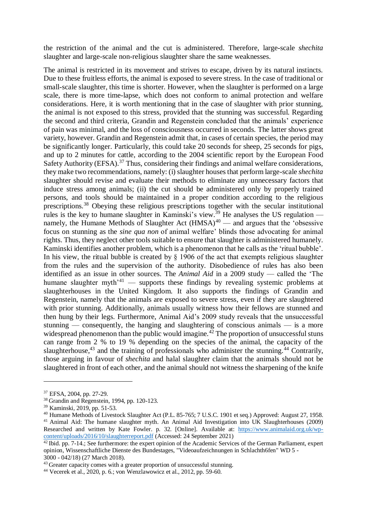the restriction of the animal and the cut is administered. Therefore, large-scale *shechita* slaughter and large-scale non-religious slaughter share the same weaknesses.

The animal is restricted in its movement and strives to escape, driven by its natural instincts. Due to these fruitless efforts, the animal is exposed to severe stress. In the case of traditional or small-scale slaughter, this time is shorter. However, when the slaughter is performed on a large scale, there is more time-lapse, which does not conform to animal protection and welfare considerations. Here, it is worth mentioning that in the case of slaughter with prior stunning, the animal is not exposed to this stress, provided that the stunning was successful. Regarding the second and third criteria, Grandin and Regenstein concluded that the animals' experience of pain was minimal, and the loss of consciousness occurred in seconds. The latter shows great variety, however. Grandin and Regenstein admit that, in cases of certain species, the period may be significantly longer. Particularly, this could take 20 seconds for sheep, 25 seconds for pigs, and up to 2 minutes for cattle, according to the 2004 scientific report by the European Food Safety Authority (EFSA).<sup>37</sup> Thus, considering their findings and animal welfare considerations, they make two recommendations, namely: (i) slaughter houses that perform large-scale *shechita*  slaughter should revise and evaluate their methods to eliminate any unnecessary factors that induce stress among animals; (ii) the cut should be administered only by properly trained persons, and tools should be maintained in a proper condition according to the religious prescriptions.<sup>38</sup> Obeying these religious prescriptions together with the secular institutional rules is the key to humane slaughter in Kaminski's view.<sup>39</sup> He analyses the US regulation namely, the Humane Methods of Slaughter Act  $(HMSA)^{40}$  — and argues that the 'obsessive focus on stunning as the *sine qua non* of animal welfare' blinds those advocating for animal rights. Thus, they neglect other tools suitable to ensure that slaughter is administered humanely. Kaminski identifies another problem, which is a phenomenon that he calls as the 'ritual bubble'. In his view, the ritual bubble is created by  $\S$  1906 of the act that exempts religious slaughter from the rules and the supervision of the authority. Disobedience of rules has also been identified as an issue in other sources. The *Animal Aid* in a 2009 study — called the 'The humane slaughter myth<sup> $14$ </sup> — supports these findings by revealing systemic problems at slaughterhouses in the United Kingdom. It also supports the findings of Grandin and Regenstein, namely that the animals are exposed to severe stress, even if they are slaughtered with prior stunning*.* Additionally, animals usually witness how their fellows are stunned and then hung by their legs. Furthermore, Animal Aid's 2009 study reveals that the unsuccessful stunning — consequently, the hanging and slaughtering of conscious animals — is a more widespread phenomenon than the public would imagine.<sup>42</sup> The proportion of unsuccessful stuns can range from 2 % to 19 % depending on the species of the animal, the capacity of the slaughterhouse,<sup>43</sup> and the training of professionals who administer the stunning.<sup>44</sup> Contrarily, those arguing in favour of *shechita* and halal slaughter claim that the animals should not be slaughtered in front of each other, and the animal should not witness the sharpening of the knife

**.** 

[content/uploads/2016/10/slaughterreport.pdf](https://www.animalaid.org.uk/wp-content/uploads/2016/10/slaughterreport.pdf) (Accessed: 24 September 2021)

<sup>37</sup> EFSA, 2004, pp. 27-29.

<sup>38</sup> Grandin and Regenstein, 1994, pp. 120-123.

<sup>39</sup> Kaminski, 2019, pp. 51-53.

<sup>&</sup>lt;sup>40</sup> Humane Methods of Livestock Slaughter Act (P.L. 85-765; 7 U.S.C. 1901 et seq.) Approved: August 27, 1958. <sup>41</sup> Animal Aid: The humane slaughter myth. An Animal Aid Investigation into UK Slaughterhouses (2009) Researched and written by Kate Fowler. p. 32. [Online]. Available at: [https://www.animalaid.org.uk/wp-](https://www.animalaid.org.uk/wp-content/uploads/2016/10/slaughterreport.pdf)

 $42$  Ibid. pp. 7-14.; See furthermore: the expert opinion of the Academic Services of the German Parliament, expert opinion, Wissenschaftliche Dienste des Bundestages, "Videoaufzeichnungen in Schlachth6fen" WD 5 - 3000 - 042/18) (27 March 2018).

<sup>&</sup>lt;sup>43</sup> Greater capacity comes with a greater proportion of unsuccessful stunning.

<sup>44</sup> Vecerek et al., 2020, p. 6.; von Wenzlawowicz et al., 2012, pp. 59-60.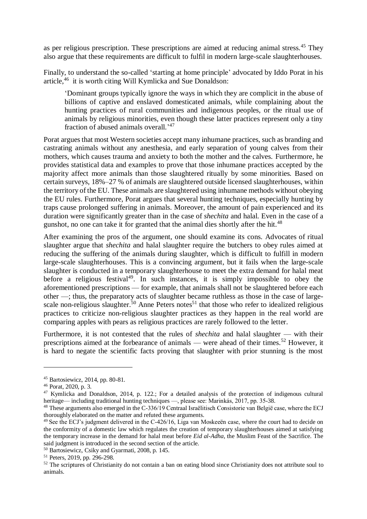as per religious prescription. These prescriptions are aimed at reducing animal stress.<sup>45</sup> They also argue that these requirements are difficult to fulfil in modern large-scale slaughterhouses.

Finally, to understand the so-called 'starting at home principle' advocated by Iddo Porat in his article, 46 it is worth citing Will Kymlicka and Sue Donaldson:

'Dominant groups typically ignore the ways in which they are complicit in the abuse of billions of captive and enslaved domesticated animals, while complaining about the hunting practices of rural communities and indigenous peoples, or the ritual use of animals by religious minorities, even though these latter practices represent only a tiny fraction of abused animals overall.'<sup>47</sup>

Porat argues that most Western societies accept many inhumane practices, such as branding and castrating animals without any anesthesia, and early separation of young calves from their mothers, which causes trauma and anxiety to both the mother and the calves. Furthermore, he provides statistical data and examples to prove that those inhumane practices accepted by the majority affect more animals than those slaughtered ritually by some minorities*.* Based on certain surveys, 18%–27 % of animals are slaughtered outside licensed slaughterhouses, within the territory of the EU. These animals are slaughtered using inhumane methods without obeying the EU rules. Furthermore, Porat argues that several hunting techniques, especially hunting by traps cause prolonged suffering in animals. Moreover, the amount of pain experienced and its duration were significantly greater than in the case of *shechita* and halal. Even in the case of a gunshot, no one can take it for granted that the animal dies shortly after the hit.<sup>48</sup>

After examining the pros of the argument, one should examine its cons. Advocates of ritual slaughter argue that *shechita* and halal slaughter require the butchers to obey rules aimed at reducing the suffering of the animals during slaughter, which is difficult to fulfill in modern large-scale slaughterhouses. This is a convincing argument, but it fails when the large-scale slaughter is conducted in a temporary slaughterhouse to meet the extra demand for halal meat before a religious festival<sup>49</sup>. In such instances, it is simply impossible to obey the aforementioned prescriptions — for example, that animals shall not be slaughtered before each other —; thus, the preparatory acts of slaughter became ruthless as those in the case of largescale non-religious slaughter.<sup>50</sup> Anne Peters notes<sup>51</sup> that those who refer to idealized religious practices to criticize non-religious slaughter practices as they happen in the real world are comparing apples with pears as religious practices are rarely followed to the letter.

Furthermore, it is not contested that the rules of *shechita* and halal slaughter — with their prescriptions aimed at the forbearance of animals — were ahead of their times.<sup>52</sup> However, it is hard to negate the scientific facts proving that slaughter with prior stunning is the most

<sup>45</sup> Bartosiewicz, 2014, pp. 80-81.

<sup>46</sup> Porat, 2020, p. 3.

<sup>47</sup> Kymlicka and Donaldson, 2014, p. 122.; For a detailed analysis of the protection of indigenous cultural heritage— including traditional hunting techniques —, please see: Marinkás, 2017, pp. 35-38.

<sup>48</sup> These arguments also emerged in the C-336/19 Centraal Israëlitisch Consistorie van België case, where the ECJ thoroughly elaborated on the matter and refuted these arguments.

<sup>49</sup> See the ECJ's judgment delivered in the C-426/16, Liga van Moskeeën case, where the court had to decide on the conformity of a domestic law which regulates the creation of temporary slaughterhouses aimed at satisfying the temporary increase in the demand for halal meat before *Eid al-Adha*, the Muslim Feast of the Sacrifice. The said judgment is introduced in the second section of the article.

<sup>50</sup> Bartosiewicz, Csiky and Gyarmati, 2008, p. 145.

<sup>51</sup> Peters, 2019, pp. 296-298.

<sup>&</sup>lt;sup>52</sup> The scriptures of Christianity do not contain a ban on eating blood since Christianity does not attribute soul to animals.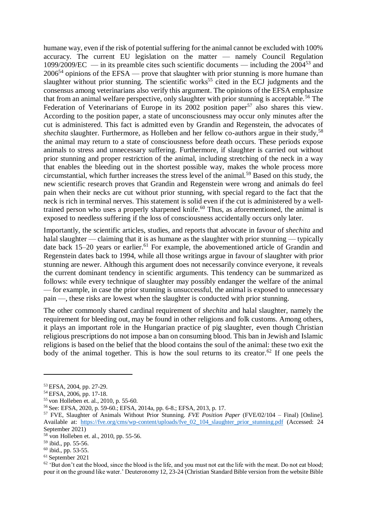humane way, even if the risk of potential suffering for the animal cannot be excluded with 100% accuracy. The current EU legislation on the matter — namely Council Regulation  $1099/2009/EC$  — in its preamble cites such scientific documents — including the  $2004^{53}$  and  $2006<sup>54</sup>$  opinions of the EFSA — prove that slaughter with prior stunning is more humane than slaughter without prior stunning. The scientific works<sup>55</sup> cited in the ECJ judgments and the consensus among veterinarians also verify this argument. The opinions of the EFSA emphasize that from an animal welfare perspective, only slaughter with prior stunning is acceptable.<sup>56</sup> The Federation of Veterinarians of Europe in its  $2002$  position paper<sup>57</sup> also shares this view. According to the position paper, a state of unconsciousness may occur only minutes after the cut is administered. This fact is admitted even by Grandin and Regenstein, the advocates of shechita slaughter. Furthermore, as Holleben and her fellow co-authors argue in their study,<sup>58</sup> the animal may return to a state of consciousness before death occurs*.* These periods expose animals to stress and unnecessary suffering. Furthermore, if slaughter is carried out without prior stunning and proper restriction of the animal, including stretching of the neck in a way that enables the bleeding out in the shortest possible way, makes the whole process more circumstantial, which further increases the stress level of the animal.<sup>59</sup> Based on this study, the new scientific research proves that Grandin and Regenstein were wrong and animals do feel pain when their necks are cut without prior stunning, with special regard to the fact that the neck is rich in terminal nerves. This statement is solid even if the cut is administered by a welltrained person who uses a properly sharpened knife.<sup>60</sup> Thus, as aforementioned, the animal is exposed to needless suffering if the loss of consciousness accidentally occurs only later.

Importantly, the scientific articles, studies, and reports that advocate in favour of *shechita* and halal slaughter — claiming that it is as humane as the slaughter with prior stunning — typically date back 15–20 years or earlier.<sup>61</sup> For example, the abovementioned article of Grandin and Regenstein dates back to 1994, while all those writings argue in favour of slaughter with prior stunning are newer. Although this argument does not necessarily convince everyone, it reveals the current dominant tendency in scientific arguments*.* This tendency can be summarized as follows: while every technique of slaughter may possibly endanger the welfare of the animal — for example, in case the prior stunning is unsuccessful, the animal is exposed to unnecessary pain —, these risks are lowest when the slaughter is conducted with prior stunning.

The other commonly shared cardinal requirement of *shechita* and halal slaughter, namely the requirement for bleeding out, may be found in other religions and folk customs. Among others, it plays an important role in the Hungarian practice of pig slaughter, even though Christian religious prescriptions do not impose a ban on consuming blood*.* This ban in Jewish and Islamic religions is based on the belief that the blood contains the soul of the animal: these two exit the body of the animal together. This is how the soul returns to its creator.<sup>62</sup> If one peels the

<sup>53</sup> EFSA, 2004, pp. 27-29.

<sup>54</sup> EFSA, 2006, pp. 17-18.

<sup>55</sup> von Holleben et. al., 2010, p. 55-60.

<sup>56</sup> See: EFSA, 2020, p. 59-60.; EFSA, 2014a, pp. 6-8.; EFSA, 2013, p. 17.

<sup>57</sup> FVE, Slaughter of Animals Without Prior Stunning*. FVE Position Paper* (FVE/02/104 – Final) [Online]. Available at: https://fve.org/cms/wp-content/uploads/fve 02 104 slaughter prior stunning.pdf (Accessed: 24 September 2021)

<sup>58</sup> von Holleben et. al., 2010, pp. 55-56.

<sup>59</sup> ibid., pp. 55-56.

 $60$  ibid., pp. 53-55.

<sup>61</sup> September 2021

 $62$  'But don't eat the blood, since the blood is the life, and you must not eat the life with the meat. Do not eat blood; pour it on the ground like water.' Deuteronomy 12, 23-24 (Christian Standard Bible version from the website Bible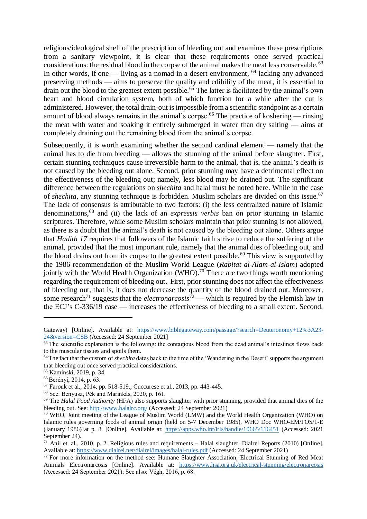religious/ideological shell of the prescription of bleeding out and examines these prescriptions from a sanitary viewpoint, it is clear that these requirements once served practical considerations: the residual blood in the corpse of the animal makes the meat less conservable.<sup>63</sup> In other words, if one — living as a nomad in a desert environment,  $^{64}$  lacking any advanced preserving methods — aims to preserve the quality and edibility of the meat, it is essential to drain out the blood to the greatest extent possible.<sup>65</sup> The latter is facilitated by the animal's own heart and blood circulation system, both of which function for a while after the cut is administered. However, the total drain-out is impossible from a scientific standpoint as a certain amount of blood always remains in the animal's corpse.<sup>66</sup> The practice of koshering — rinsing the meat with water and soaking it entirely submerged in water than dry salting — aims at completely draining out the remaining blood from the animal's corpse.

Subsequently, it is worth examining whether the second cardinal element — namely that the animal has to die from bleeding — allows the stunning of the animal before slaughter. First, certain stunning techniques cause irreversible harm to the animal, that is, the animal's death is not caused by the bleeding out alone*.* Second, prior stunning may have a detrimental effect on the effectiveness of the bleeding out; namely, less blood may be drained out. The significant difference between the regulations on *shechita* and halal must be noted here. While in the case of *shechita*, any stunning technique is forbidden. Muslim scholars are divided on this issue*.* 67 The lack of consensus is attributable to two factors: (i) the less centralized nature of Islamic denominations, <sup>68</sup> and (ii) the lack of an *expressis verbis* ban on prior stunning in Islamic scriptures. Therefore, while some Muslim scholars maintain that prior stunning is not allowed, as there is a doubt that the animal's death is not caused by the bleeding out alone. Others argue that *Hadith 17* requires that followers of the Islamic faith strive to reduce the suffering of the animal, provided that the most important rule, namely that the animal dies of bleeding out, and the blood drains out from its corpse to the greatest extent possible.<sup>69</sup> This view is supported by the 1986 recommendation of the Muslim World League (*Rabitat al-Alam-al-Islam*) adopted jointly with the World Health Organization (WHO).<sup>70</sup> There are two things worth mentioning regarding the requirement of bleeding out. First, prior stunning does not affect the effectiveness of bleeding out, that is, it does not decrease the quantity of the blood drained out. Moreover, some research<sup>71</sup> suggests that the *electronarcosis*<sup>72</sup> — which is required by the Flemish law in the ECJ's C-336/19 case — increases the effectiveness of bleeding to a small extent. Second,

Gateway) [Online]. Available at: [https://www.biblegateway.com/passage/?search=Deuteronomy+12%3A23-](https://www.biblegateway.com/passage/?search=Deuteronomy+12%3A23-24&version=CSB) [24&version=CSB](https://www.biblegateway.com/passage/?search=Deuteronomy+12%3A23-24&version=CSB) (Accessed: 24 September 2021]

 $63$  The scientific explanation is the following: the contagious blood from the dead animal's intestines flows back to the muscular tissues and spoils them.

<sup>64</sup>The fact that the custom of *shechita* dates back to the time of the 'Wandering in the Desert' supports the argument that bleeding out once served practical considerations.

<sup>65</sup> Kaminski, 2019, p. 34.

<sup>66</sup> Berényi, 2014, p. 63.

<sup>67</sup> Farouk et al., 2014, pp. 518-519.; Cuccurese et al., 2013, pp. 443-445.

<sup>68</sup> See: Benyusz, Pék and Marinkás, 2020, p. 161.

<sup>&</sup>lt;sup>69</sup> The *Halal Food Authority* (HFA) also supports slaughter with prior stunning, provided that animal dies of the bleeding out. See:<http://www.halalrc.org/> (Accessed: 24 September 2021)

<sup>70</sup> WHO, Joint meeting of the League of Muslim World (LMW) and the World Health Organization (WHO) on Islamic rules governing foods of animal origin (held on 5-7 December 1985), WHO Doc WHO-EM/FOS/1-E (January 1986) at p. 8. [Online]. Available at:<https://apps.who.int/iris/handle/10665/116451> (Accessed: 2021 September 24).

 $71$  Anil et. al., 2010, p. 2. Religious rules and requirements – Halal slaughter. Dialrel Reports (2010) [Online]. Available at[: https://www.dialrel.net/dialrel/images/halal-rules.pdf](https://www.dialrel.net/dialrel/images/halal-rules.pdf) (Accessed: 24 September 2021)

<sup>&</sup>lt;sup>72</sup> For more information on the method see: Humane Slaughter Association, Electrical Stunning of Red Meat Animals Electronarcosis [Online]. Available at: <https://www.hsa.org.uk/electrical-stunning/electronarcosis> (Accessed: 24 September 2021); See also: Végh, 2016, p. 68.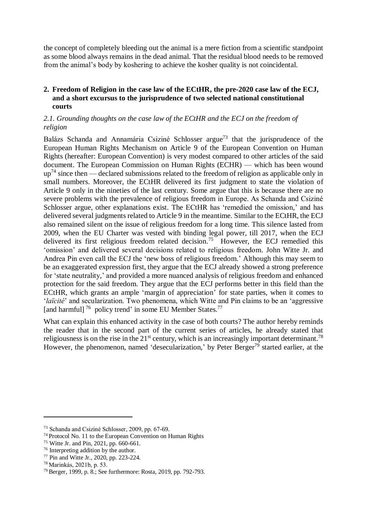the concept of completely bleeding out the animal is a mere fiction from a scientific standpoint as some blood always remains in the dead animal. That the residual blood needs to be removed from the animal's body by koshering to achieve the kosher quality is not coincidental.

# **2. Freedom of Religion in the case law of the ECtHR, the pre-2020 case law of the ECJ, and a short excursus to the jurisprudence of two selected national constitutional courts**

## *2.1. Grounding thoughts on the case law of the ECtHR and the ECJ on the freedom of religion*

Balázs Schanda and Annamária Csiziné Schlosser argue<sup>73</sup> that the jurisprudence of the European Human Rights Mechanism on Article 9 of the European Convention on Human Rights (hereafter: European Convention) is very modest compared to other articles of the said document. The European Commission on Human Rights (ECHR) — which has been wound  $\mu$ <sup>74</sup> since then — declared submissions related to the freedom of religion as applicable only in small numbers. Moreover, the ECtHR delivered its first judgment to state the violation of Article 9 only in the nineties of the last century. Some argue that this is because there are no severe problems with the prevalence of religious freedom in Europe. As Schanda and Csiziné Schlosser argue, other explanations exist. The ECtHR has 'remedied the omission,' and has delivered several judgments related to Article 9 in the meantime. Similar to the ECtHR, the ECJ also remained silent on the issue of religious freedom for a long time. This silence lasted from 2009, when the EU Charter was vested with binding legal power, till 2017, when the ECJ delivered its first religious freedom related decision. 75 However, the ECJ remedied this 'omission' and delivered several decisions related to religious freedom. John Witte Jr. and Andrea Pin even call the ECJ the 'new boss of religious freedom.' Although this may seem to be an exaggerated expression first, they argue that the ECJ already showed a strong preference for 'state neutrality,' and provided a more nuanced analysis of religious freedom and enhanced protection for the said freedom. They argue that the ECJ performs better in this field than the ECtHR, which grants an ample 'margin of appreciation' for state parties, when it comes to '*laïcité*' and secularization. Two phenomena, which Witte and Pin claims to be an 'aggressive [and harmful]<sup>76</sup> policy trend' in some EU Member States.<sup>77</sup>

What can explain this enhanced activity in the case of both courts? The author hereby reminds the reader that in the second part of the current series of articles, he already stated that religiousness is on the rise in the  $21<sup>st</sup>$  century, which is an increasingly important determinant.<sup>78</sup> However, the phenomenon, named 'desecularization,' by Peter Berger<sup>79</sup> started earlier, at the

-

<sup>73</sup> Schanda and Csiziné Schlosser, 2009, pp. 67-69.

<sup>&</sup>lt;sup>74</sup> Protocol No. 11 to the European Convention on Human Rights

<sup>75</sup> Witte Jr. and Pin, 2021, pp. 660-661.

<sup>76</sup> Interpreting addition by the author.

<sup>77</sup> Pin and Witte Jr., 2020, pp. 223-224.

<sup>78</sup> Marinkás, 2021b, p. 53.

<sup>79</sup> Berger, 1999, p. 8.; See furthermore: Rosta, 2019, pp. 792-793.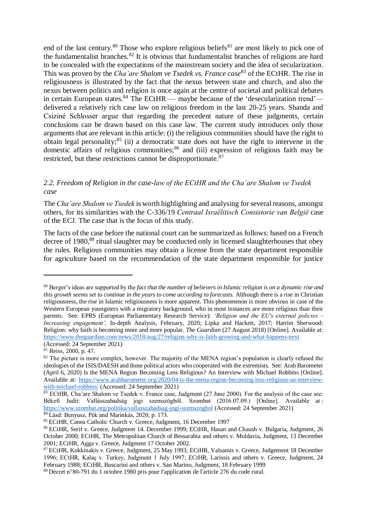end of the last century.<sup>80</sup> Those who explore religious beliefs<sup>81</sup> are most likely to pick one of the fundamentalist branches.<sup>82</sup> It is obvious that fundamentalist branches of religions are hard to be concealed with the expectations of the mainstream society and the idea of secularization. This was proven by the *Cha'are Shalom ve Tsedek vs. France case*<sup>83</sup> of the ECtHR. The rise in religiousness is illustrated by the fact that the nexus between state and church, and also the nexus between politics and religion is once again at the centre of societal and political debates in certain European states.<sup>84</sup> The ECtHR — maybe because of the 'desecularization trend' delivered a relatively rich case law on religious freedom in the last 20-25 years. Shanda and Csiziné Schlosser argue that regarding the precedent nature of these judgments, certain conclusions can be drawn based on this case law*.* The current study introduces only those arguments that are relevant in this article: (i) the religious communities should have the right to obtain legal personality;<sup>85</sup> (ii) a democratic state does not have the right to intervene in the domestic affairs of religious communities;<sup>86</sup> and (iii) expression of religious faith may be restricted, but these restrictions cannot be disproportionate.<sup>87</sup>

## *2.2. Freedom of Religion in the case-law of the ECtHR and the Cha'are Shalom ve Tsedek case*

The *Cha'are Shalom ve Tsedek* is worth highlighting and analysing for several reasons, amongst others, for its similarities with the C-336/19 *Centraal Israëlitisch Consistorie van België* case of the ECJ. The case that is the focus of this study.

The facts of the case before the national court can be summarized as follows: based on a French decree of 1980,<sup>88</sup> ritual slaughter may be conducted only in licensed slaughterhouses that obey the rules. Religious communities may obtain a license from the state department responsible for agriculture based on the recommendation of the state department responsible for justice

-

<sup>80</sup> Berger's ideas are supported by the *fact that the number of believers in Islamic religion is on a dynamic rise and this growth seems set to continue in the years to come according to forecasts.* Although there is a rise in Christian religiousness, the rise in Islamic religiousness is more apparent. This phenomenon is more obvious in case of the Western European youngsters with a migratory background, who in most instances are more religious than their parents. See: EPRS (European Parliamentary Research Service): *'Religion and the EU's external policies – Increasing engagement',* In-depth Analysis, February, 2020; Lipka and Hackett, 2017; Harriet Sherwood: Religion: why faith is becoming more and more popular. *The Guardian* (27 August 2018) [Online]. Available at: <https://www.theguardian.com/news/2018/aug/27/religion-why-is-faith-growing-and-what-happens-next> (Accessed: 24 September 2021)

<sup>81</sup> Reiss, 2000, p. 47.

<sup>&</sup>lt;sup>82</sup> The picture is more complex, however. The majority of the MENA region's population is clearly refused the ideologies of the ISIS/DAESH and those political actors who cooperated with the extremists. See: Arab Barometer (April 6, 2020) Is the MENA Region Becoming Less Religious? An Interview with Michael Robbins [Online]. Available at: [https://www.arabbarometer.org/2020/04/is-the-mena-region-becoming-less-religious-an-interview](https://www.arabbarometer.org/2020/04/is-the-mena-region-becoming-less-religious-an-interview-with-michael-robbins/)[with-michael-robbins/](https://www.arabbarometer.org/2020/04/is-the-mena-region-becoming-less-religious-an-interview-with-michael-robbins/) (Accessed: 24 September 2021)

<sup>83</sup> ECtHR, Cha'are Shalom ve Tsedek v. France case, Judgment (27 June 2000). For the analysis of the case see: Békefi Judit: Vallásszabadság jogi szemszögből. Szombat (2016.07.09.) [Online]. Available at : <https://www.szombat.org/politika/vallasszabadsag-jogi-szemszogbol> (Accessed: 24 September 2021) <sup>84</sup> Lásd: Benyusz, Pék and Marinkás, 2020, p. 173.

<sup>85</sup> ECtHR, Canea Catholic Church v. Greece, Judgment, 16 December 1997

<sup>86</sup> ECtHR, Serif v. Greece, Judgment 14. December 1999; ECtHR, Hasan and Chaush v. Bulgaria, Judgment, 26 October 2000; ECtHR, The Metropolitan Church of Bessarabia and others v. Moldavia, Judgment, 13 December 2001; ECtHR, Agga v. Greece, Judgment 17 October 2002.

<sup>87</sup> ECtHR, Kokkinakis v. Greece, Judgment, 25 May 1993; ECtHR, Valsamis v. Greece, Judgement 18 December 1996; ECtHR, Kalaç v. Turkey, Judgment 1 July 1997; ECtHR, Larissis and others v. Greece, Judgment, 24 February 1988; ECtHR, Buscarini and others v. San Marino, Judgment, 18 February 1999

<sup>88</sup> Décret n°80-791 du 1 octobre 1980 pris pour l'application de l'article 276 du code rural.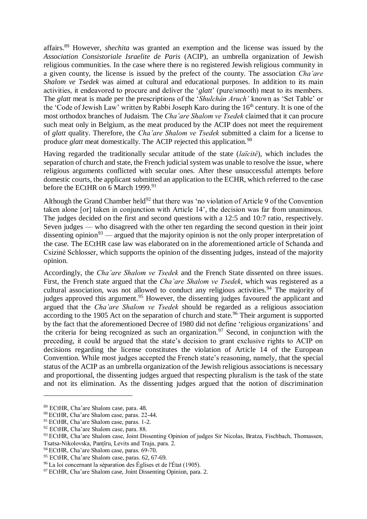affairs.<sup>89</sup> However, *shechita* was granted an exemption and the license was issued by the *Association Consistoriale Israelite de Paris* (ACIP), an umbrella organization of Jewish religious communities. In the case where there is no registered Jewish religious community in a given county, the license is issued by the prefect of the county. The association *Cha'are Shalom ve Tsedek* was aimed at cultural and educational purposes. In addition to its main activities, it endeavored to procure and deliver the '*glatt*' (pure/smooth) meat to its members. The *glatt* meat is made per the prescriptions of the '*Shulchán Aruch'* known as 'Set Table' or the 'Code of Jewish Law' written by Rabbi Joseph Karo during the 16<sup>th</sup> century. It is one of the most orthodox branches of Judaism. The *Cha'are Shalom ve Tsedek* claimed that it can procure such meat only in Belgium, as the meat produced by the ACIP does not meet the requirement of *glatt* quality. Therefore, the *Cha'are Shalom ve Tsedek* submitted a claim for a license to produce *glatt* meat domestically. The ACIP rejected this application.<sup>90</sup>

Having regarded the traditionally secular attitude of the state (*laïcité*), which includes the separation of church and state, the French judicial system was unable to resolve the issue*,* where religious arguments conflicted with secular ones. After these unsuccessful attempts before domestic courts, the applicant submitted an application to the ECHR, which referred to the case before the ECtHR on 6 March 1999.<sup>91</sup>

Although the Grand Chamber held<sup>92</sup> that there was 'no violation of Article 9 of the Convention taken alone [or] taken in conjunction with Article 14', the decision was far from unanimous. The judges decided on the first and second questions with a 12:5 and 10:7 ratio, respectively. Seven judges — who disagreed with the other ten regarding the second question in their joint dissenting opinion $93$  — argued that the majority opinion is not the only proper interpretation of the case*.* The ECtHR case law was elaborated on in the aforementioned article of Schanda and Csiziné Schlosser, which supports the opinion of the dissenting judges, instead of the majority opinion.

Accordingly, the *Cha'are Shalom ve Tsedek* and the French State dissented on three issues. First, the French state argued that the *Cha'are Shalom ve Tsedek*, which was registered as a cultural association, was not allowed to conduct any religious activities.<sup>94</sup> The majority of judges approved this argument.<sup>95</sup> However, the dissenting judges favoured the applicant and argued that the *Cha'are Shalom ve Tsedek* should be regarded as a religious association according to the 1905 Act on the separation of church and state*.* <sup>96</sup> Their argument is supported by the fact that the aforementioned Decree of 1980 did not define 'religious organizations' and the criteria for being recognized as such an organization.<sup>97</sup> Second, in conjunction with the preceding, it could be argued that the state's decision to grant exclusive rights to ACIP on decisions regarding the license constitutes the violation of Article 14 of the European Convention. While most judges accepted the French state's reasoning, namely, that the special status of the ACIP as an umbrella organization of the Jewish religious associations is necessary and proportional, the dissenting judges argued that respecting pluralism is the task of the state and not its elimination. As the dissenting judges argued that the notion of discrimination

<sup>89</sup> ECtHR, Cha'are Shalom case, para. 48.

<sup>90</sup> ECtHR, Cha'are Shalom case, paras. 22-44.

<sup>91</sup> ECtHR, Cha'are Shalom case, paras. 1-2.

<sup>92</sup> ECtHR, Cha'are Shalom case, para. 88.

<sup>93</sup> ECtHR, Cha'are Shalom case, Joint Dissenting Opinion of judges Sir Nicolas, Bratza, Fischbach, Thomassen, Tsatsa-Nikolovska, Panțîru, Levits and Traja, para. 2.

<sup>&</sup>lt;sup>94</sup> ECtHR, Cha'are Shalom case, paras. 69-70.

<sup>95</sup> ECtHR, Cha'are Shalom case, paras. 62, 67-69.

<sup>96</sup> La loi concernant la séparation des Églises et de l'État (1905).

<sup>97</sup> ECtHR, Cha'are Shalom case, Joint Dissenting Opinion, para. 2.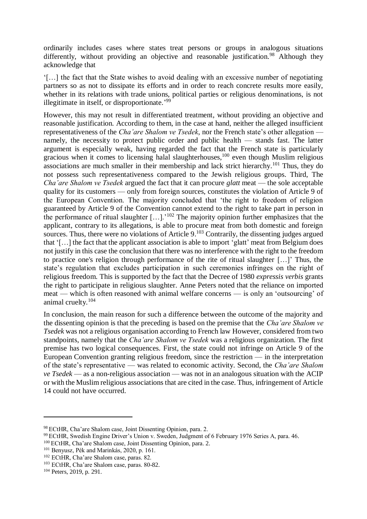ordinarily includes cases where states treat persons or groups in analogous situations differently, without providing an objective and reasonable justification*.* <sup>98</sup> Although they acknowledge that

'[…] the fact that the State wishes to avoid dealing with an excessive number of negotiating partners so as not to dissipate its efforts and in order to reach concrete results more easily, whether in its relations with trade unions, political parties or religious denominations, is not illegitimate in itself, or disproportionate.'99

However, this may not result in differentiated treatment, without providing an objective and reasonable justification*.* According to them, in the case at hand, neither the alleged insufficient representativeness of the *Cha'are Shalom ve Tsedek*, nor the French state's other allegation namely, the necessity to protect public order and public health — stands fast. The latter argument is especially weak, having regarded the fact that the French state is particularly gracious when it comes to licensing halal slaughterhouses,<sup>100</sup> even though Muslim religious associations are much smaller in their membership and lack strict hierarchy.<sup>101</sup> Thus, they do not possess such representativeness compared to the Jewish religious groups. Third, The *Cha'are Shalom ve Tsedek* argued the fact that it can procure *glatt* meat — the sole acceptable quality for its customers — only from foreign sources, constitutes the violation of Article 9 of the European Convention. The majority concluded that 'the right to freedom of religion guaranteed by Article 9 of the Convention cannot extend to the right to take part in person in the performance of ritual slaughter […].'<sup>102</sup> The majority opinion further emphasizes that the applicant, contrary to its allegations, is able to procure meat from both domestic and foreign sources. Thus, there were no violations of Article 9.<sup>103</sup> Contrarily, the dissenting judges argued that '[…] the fact that the applicant association is able to import 'glatt' meat from Belgium does not justify in this case the conclusion that there was no interference with the right to the freedom to practice one's religion through performance of the rite of ritual slaughter […]' Thus, the state's regulation that excludes participation in such ceremonies infringes on the right of religious freedom. This is supported by the fact that the Decree of 1980 *expressis verbis* grants the right to participate in religious slaughter. Anne Peters noted that the reliance on imported meat — which is often reasoned with animal welfare concerns — is only an 'outsourcing' of animal cruelty.<sup>104</sup>

In conclusion, the main reason for such a difference between the outcome of the majority and the dissenting opinion is that the preceding is based on the premise that the *Cha'are Shalom ve Tsedek* was not a religious organisation according to French law However, considered from two standpoints, namely that the *Cha'are Shalom ve Tsedek* was a religious organization. The first premise has two logical consequences. First, the state could not infringe on Article 9 of the European Convention granting religious freedom, since the restriction — in the interpretation of the state's representative — was related to economic activity. Second, the *Cha'are Shalom ve Tsedek* — as a non-religious association — was not in an analogous situation with the ACIP or with the Muslim religious associations that are cited in the case. Thus, infringement of Article 14 could not have occurred.

-

<sup>98</sup> ECtHR, Cha'are Shalom case, Joint Dissenting Opinion, para. 2.

<sup>99</sup> ECtHR, Swedish Engine Driver's Union v. Sweden, Judgment of 6 February 1976 Series A, para. 46.

<sup>100</sup> ECtHR, Cha'are Shalom case, Joint Dissenting Opinion, para. 2.

<sup>101</sup> Benyusz, Pék and Marinkás, 2020, p. 161.

<sup>102</sup> ECtHR, Cha'are Shalom case, paras. 82.

<sup>103</sup> ECtHR, Cha'are Shalom case, paras. 80-82.

<sup>104</sup> Peters, 2019, p. 291.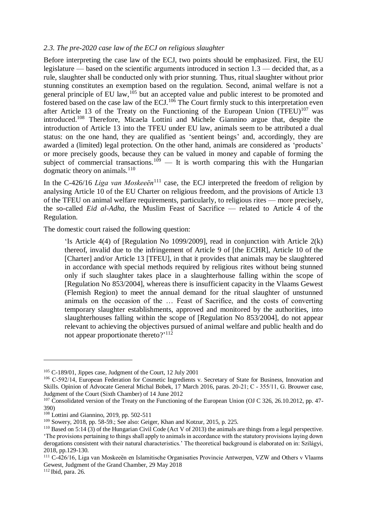### *2.3. The pre-2020 case law of the ECJ on religious slaughter*

Before interpreting the case law of the ECJ, two points should be emphasized. First, the EU legislature — based on the scientific arguments introduced in section 1.3 — decided that, as a rule, slaughter shall be conducted only with prior stunning. Thus, ritual slaughter without prior stunning constitutes an exemption based on the regulation. Second, animal welfare is not a general principle of EU law,  $105$  but an accepted value and public interest to be promoted and fostered based on the case law of the ECJ.<sup>106</sup> The Court firmly stuck to this interpretation even after Article 13 of the Treaty on the Functioning of the European Union  $(TFEU)^{107}$  was introduced.<sup>108</sup> Therefore, Micaela Lottini and Michele Giannino argue that, despite the introduction of Article 13 into the TFEU under EU law, animals seem to be attributed a dual status: on the one hand, they are qualified as 'sentient beings' and, accordingly, they are awarded a (limited) legal protection. On the other hand, animals are considered as 'products' or more precisely goods, because they can be valued in money and capable of forming the subject of commercial transactions.<sup>109</sup> — It is worth comparing this with the Hungarian dogmatic theory on animals. $110$ 

In the C-426/16 *Liga van Moskeeën*<sup>111</sup> case, the ECJ interpreted the freedom of religion by analysing Article 10 of the EU Charter on religious freedom, and the provisions of Article 13 of the TFEU on animal welfare requirements, particularly, to religious rites — more precisely, the so-called *Eid al-Adha*, the Muslim Feast of Sacrifice — related to Article 4 of the Regulation.

The domestic court raised the following question:

'Is Article 4(4) of [Regulation No 1099/2009], read in conjunction with Article 2(k) thereof, invalid due to the infringement of Article 9 of [the ECHR], Article 10 of the [Charter] and/or Article 13 [TFEU], in that it provides that animals may be slaughtered in accordance with special methods required by religious rites without being stunned only if such slaughter takes place in a slaughterhouse falling within the scope of [Regulation No 853/2004], whereas there is insufficient capacity in the Vlaams Gewest (Flemish Region) to meet the annual demand for the ritual slaughter of unstunned animals on the occasion of the … Feast of Sacrifice, and the costs of converting temporary slaughter establishments, approved and monitored by the authorities, into slaughterhouses falling within the scope of [Regulation No 853/2004], do not appear relevant to achieving the objectives pursued of animal welfare and public health and do not appear proportionate thereto?'<sup>112</sup>

<sup>105</sup> C-189/01, Jippes case, Judgment of the Court, 12 July 2001

<sup>106</sup> C‑592/14, European Federation for Cosmetic Ingredients v. Secretary of State for Business, Innovation and Skills. Opinion of Advocate General Michal Bobek, 17 March 2016, paras. 20-21; C ‑ 355/11, G. Brouwer case, Judgment of the Court (Sixth Chamber) of 14 June 2012

<sup>&</sup>lt;sup>107</sup> Consolidated version of the Treaty on the Functioning of the European Union (OJ C 326, 26.10.2012, pp. 47-390)

<sup>108</sup> Lottini and Giannino, 2019, pp. 502-511

<sup>109</sup> Sowery, 2018, pp. 58-59.; See also: Geiger, Khan and Kotzur, 2015, p. 225.

<sup>110</sup> Based on 5:14 (3) of the Hungarian Civil Code (Act V of 2013) the animals are things from a legal perspective. 'The provisions pertaining to things shall apply to animals in accordance with the statutory provisions laying down derogations consistent with their natural characteristics.' The theoretical background is elaborated on in: Szilágyi, 2018, pp.129-130.

<sup>111</sup> C-426/16, Liga van Moskeeën en Islamitische Organisaties Provincie Antwerpen, VZW and Others v Vlaams Gewest, Judgment of the Grand Chamber, 29 May 2018

<sup>112</sup> Ibid, para. 26.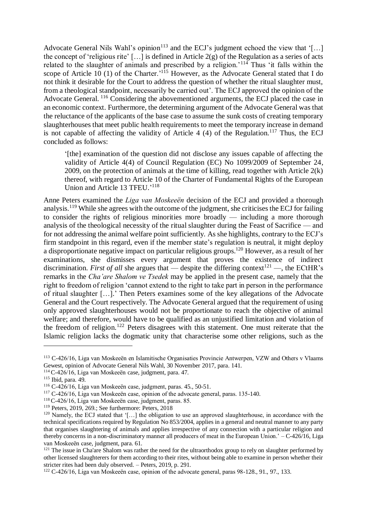Advocate General Nils Wahl's opinion<sup>113</sup> and the ECJ's judgment echoed the view that '[...] the concept of 'religious rite' […] is defined in Article 2(g) of the Regulation as a series of acts related to the slaughter of animals and prescribed by a religion.'<sup>114</sup> Thus 'it falls within the scope of Article  $10(1)$  of the Charter.<sup>115</sup> However, as the Advocate General stated that I do not think it desirable for the Court to address the question of whether the ritual slaughter must, from a theological standpoint, necessarily be carried out'. The ECJ approved the opinion of the Advocate General. <sup>116</sup> Considering the abovementioned arguments*,* the ECJ placed the case in an economic context. Furthermore, the determining argument of the Advocate General was that the reluctance of the applicants of the base case to assume the sunk costs of creating temporary slaughterhouses that meet public health requirements to meet the temporary increase in demand is not capable of affecting the validity of Article 4 (4) of the Regulation.<sup>117</sup> Thus, the ECJ concluded as follows:

'[the] examination of the question did not disclose any issues capable of affecting the validity of Article 4(4) of Council Regulation (EC) No 1099/2009 of September 24, 2009, on the protection of animals at the time of killing, read together with Article 2(k) thereof, with regard to Article 10 of the Charter of Fundamental Rights of the European Union and Article 13 TFEU.'<sup>118</sup>

Anne Peters examined the *Liga van Moskeeën* decision of the ECJ and provided a thorough analysis.<sup>119</sup> While she agrees with the outcome of the judgment, she criticises the ECJ for failing to consider the rights of religious minorities more broadly — including a more thorough analysis of the theological necessity of the ritual slaughter during the Feast of Sacrifice — and for not addressing the animal welfare point sufficiently. As she highlights, contrary to the ECJ's firm standpoint in this regard, even if the member state's regulation is neutral, it might deploy a disproportionate negative impact on particular religious groups.<sup>120</sup> However, as a result of her examinations, she dismisses every argument that proves the existence of indirect discrimination. *First of all* she argues that — despite the differing context<sup>121</sup> —, the ECtHR's remarks in the *Cha'are Shalom ve Tsedek* may be applied in the present case, namely that the right to freedom of religion 'cannot extend to the right to take part in person in the performance of ritual slaughter […].' Then Peters examines some of the key allegations of the Advocate General and the Court respectively. The Advocate General argued that the requirement of using only approved slaughterhouses would not be proportionate to reach the objective of animal welfare; and therefore, would have to be qualified as an unjustified limitation and violation of the freedom of religion.<sup>122</sup> Peters disagrees with this statement. One must reiterate that the Islamic religion lacks the dogmatic unity that characterise some other religions, such as the

<sup>113</sup> C-426/16, Liga van Moskeeën en Islamitische Organisaties Provincie Antwerpen, VZW and Others v Vlaams Gewest, opinion of Advocate General Nils Wahl, 30 November 2017, para. 141.

<sup>114</sup> C-426/16, Liga van Moskeeën case, judgment, para. 47.

<sup>115</sup> Ibid, para. 49.

<sup>116</sup> C-426/16, Liga van Moskeeën case, judgment, paras. 45., 50-51.

<sup>117</sup> C-426/16, Liga van Moskeeën case, opinion of the advocate general, paras. 135-140.

<sup>118</sup> C-426/16, Liga van Moskeeën case, judgment, paras. 85.

<sup>119</sup> Peters, 2019, 269.; See furthermore: Peters, 2018

<sup>&</sup>lt;sup>120</sup> Namely, the ECJ stated that '[...] the obligation to use an approved slaughterhouse, in accordance with the technical specifications required by Regulation No 853/2004, applies in a general and neutral manner to any party that organises slaughtering of animals and applies irrespective of any connection with a particular religion and thereby concerns in a non-discriminatory manner all producers of meat in the European Union.' – C-426/16, Liga van Moskeeën case, judgment, para. 61.

<sup>&</sup>lt;sup>121</sup> The issue in Cha'are Shalom was rather the need for the ultraorthodox group to rely on slaughter performed by other licensed slaughterers for them according to their rites, without being able to examine in person whether their stricter rites had been duly observed. – Peters, 2019, p. 291.

<sup>&</sup>lt;sup>122</sup> C-426/16, Liga van Moskeeën case, opinion of the advocate general, paras 98-128., 91., 97., 133.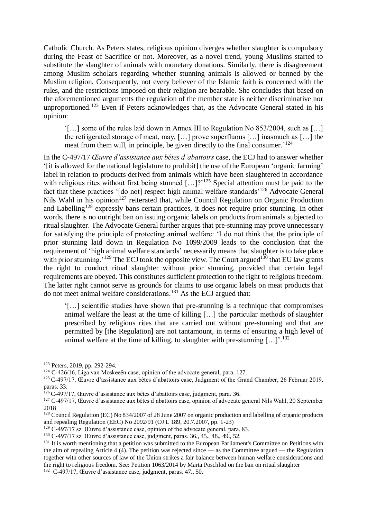Catholic Church. As Peters states, religious opinion diverges whether slaughter is compulsory during the Feast of Sacrifice or not. Moreover, as a novel trend, young Muslims started to substitute the slaughter of animals with monetary donations. Similarly, there is disagreement among Muslim scholars regarding whether stunning animals is allowed or banned by the Muslim religion. Consequently, not every believer of the Islamic faith is concerned with the rules, and the restrictions imposed on their religion are bearable. She concludes that based on the aforementioned arguments the regulation of the member state is neither discriminative nor unproportioned.<sup>123</sup> Even if Peters acknowledges that, as the Advocate General stated in his opinion:

'[…] some of the rules laid down in Annex III to Regulation No 853/2004, such as […] the refrigerated storage of meat, may, […] prove superfluous […] inasmuch as […] the meat from them will, in principle, be given directly to the final consumer.<sup>'124</sup>

In the C-497/17 *Œuvre d'assistance aux bêtes d'abattoirs* case, the ECJ had to answer whether '[it is allowed for the national legislature to prohibit] the use of the European 'organic farming' label in relation to products derived from animals which have been slaughtered in accordance with religious rites without first being stunned  $\left[ \ldots \right]$ ?<sup>125</sup> Special attention must be paid to the fact that these practices '[do not] respect high animal welfare standards'<sup>126</sup> Advocate General Nils Wahl in his opinion<sup>127</sup> reiterated that, while Council Regulation on Organic Production and Labelling<sup>128</sup> expressly bans certain practices, it does not require prior stunning. In other words, there is no outright ban on issuing organic labels on products from animals subjected to ritual slaughter. The Advocate General further argues that pre-stunning may prove unnecessary for satisfying the principle of protecting animal welfare: 'I do not think that the principle of prior stunning laid down in Regulation No 1099/2009 leads to the conclusion that the requirement of 'high animal welfare standards' necessarily means that slaughter is to take place with prior stunning.<sup>'129</sup> The ECJ took the opposite view. The Court argued<sup>130</sup> that EU law grants the right to conduct ritual slaughter without prior stunning, provided that certain legal requirements are obeyed. This constitutes sufficient protection to the right to religious freedom. The latter right cannot serve as grounds for claims to use organic labels on meat products that do not meet animal welfare considerations. <sup>131</sup> As the ECJ argued that:

'[…] scientific studies have shown that pre-stunning is a technique that compromises animal welfare the least at the time of killing […] the particular methods of slaughter prescribed by religious rites that are carried out without pre-stunning and that are permitted by [the Regulation] are not tantamount, in terms of ensuring a high level of animal welfare at the time of killing, to slaughter with pre-stunning  $[\dots]$ <sup>132</sup>

<sup>123</sup> Peters, 2019, pp. 292-294.

<sup>124</sup> C-426/16, Liga van Moskeeën case, opinion of the advocate general, para. 127.

<sup>125</sup> C-497/17, Œuvre d'assistance aux bêtes d'abattoirs case, Judgment of the Grand Chamber, 26 Februar 2019, paras. 33.

<sup>&</sup>lt;sup>126</sup> C-497/17, Œuvre d'assistance aux bêtes d'abattoirs case, judgment, para. 36.

<sup>&</sup>lt;sup>127</sup> C-497/17, Œuvre d'assistance aux bêtes d'abattoirs case, opinion of advocate general Nils Wahl, 20 September 2018

<sup>&</sup>lt;sup>128</sup> Council Regulation (EC) No 834/2007 of 28 June 2007 on organic production and labelling of organic products and repealing Regulation (EEC) No 2092/91 (OJ L 189, 20.7.2007, pp. 1-23)

<sup>129</sup> C-497/17 sz. Œuvre d'assistance case, opinion of the advocate general, para. 83.

<sup>130</sup> C-497/17 sz. Œuvre d'assistance case, judgment, paras. 36., 45., 48., 49., 52.

<sup>&</sup>lt;sup>131</sup> It is worth mentioning that a petition was submitted to the European Parliament's Committee on Petitions with the aim of repealing Article 4 (4). The petition was rejected since — as the Committee argued — the Regulation together with other sources of law of the Union strikes a fair balance between human welfare considerations and the right to religious freedom. See: Petition 1063/2014 by Marta Poschlod on the ban on ritual slaughter 132 C-497/17, Œuvre d'assistance case, judgment, paras. 47., 50.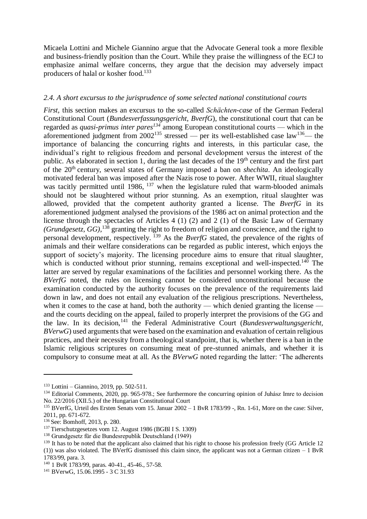Micaela Lottini and Michele Giannino argue that the Advocate General took a more flexible and business-friendly position than the Court. While they praise the willingness of the ECJ to emphasize animal welfare concerns, they argue that the decision may adversely impact producers of halal or kosher food.<sup>133</sup>

### *2.4. A short excursus to the jurisprudence of some selected national constitutional courts*

*First,* this section makes an excursus to the so-called *Schächten-case* of the German Federal Constitutional Court (*Bundesverfassungsgericht, BverfG*), the constitutional court that can be regarded as *quasi-primus inter pares<sup>134</sup>* among European constitutional courts — which in the aforementioned judgment from  $2002^{135}$  stressed — per its well-established case law<sup>136</sup>— the importance of balancing the concurring rights and interests, in this particular case, the individual's right to religious freedom and personal development versus the interest of the public. As elaborated in section 1, during the last decades of the 19<sup>th</sup> century and the first part of the 20th century, several states of Germany imposed a ban on *shechita*. An ideologically motivated federal ban was imposed after the Nazis rose to power. After WWII, ritual slaughter was tacitly permitted until 1986,  $137$  when the legislature ruled that warm-blooded animals should not be slaughtered without prior stunning. As an exemption, ritual slaughter was allowed, provided that the competent authority granted a license. The *BverfG* in its aforementioned judgment analysed the provisions of the 1986 act on animal protection and the license through the spectacles of Articles 4 (1) (2) and 2 (1) of the Basic Law of Germany *(Grundgesetz, GG)*, <sup>138</sup> granting the right to freedom of religion and conscience, and the right to personal development, respectively. <sup>139</sup> As the *BverfG* stated, the prevalence of the rights of animals and their welfare considerations can be regarded as public interest, which enjoys the support of society's majority. The licensing procedure aims to ensure that ritual slaughter, which is conducted without prior stunning, remains exceptional and well-inspected.<sup>140</sup> The latter are served by regular examinations of the facilities and personnel working there. As the *BVerfG* noted, the rules on licensing cannot be considered unconstitutional because the examination conducted by the authority focuses on the prevalence of the requirements laid down in law, and does not entail any evaluation of the religious prescriptions. Nevertheless, when it comes to the case at hand, both the authority — which denied granting the license and the courts deciding on the appeal, failed to properly interpret the provisions of the GG and the law. In its decision,<sup>141</sup> the Federal Administrative Court (*Bundesverwaltungsgericht, BVerwG*) used arguments that were based on the examination and evaluation of certain religious practices, and their necessity from a theological standpoint*,* that is, whether there is a ban in the Islamic religious scriptures on consuming meat of pre-stunned animals, and whether it is compulsory to consume meat at all. As the *BVerwG* noted regarding the latter: 'The adherents

<sup>133</sup> Lottini – Giannino, 2019, pp. 502-511.

<sup>&</sup>lt;sup>134</sup> Editorial Comments, 2020, pp. 965-978.; See furthermore the concurring opinion of Juhász Imre to decision No. 22/2016 (XII.5.) of the Hungarian Constitutional Court

<sup>&</sup>lt;sup>135</sup> BVerfG, Urteil des Ersten Senats vom 15. Januar 2002 – 1 BvR 1783/99 -, Rn. 1-61, More on the case: Silver, 2011, pp. 671-672.

<sup>136</sup> See: Bomhoff, 2013, p. 280.

<sup>137</sup> Tierschutzgesetzes vom 12. August 1986 (BGBl I S. 1309)

<sup>138</sup> Grundgesetz für die Bundesrepublik Deutschland (1949)

 $139$  It has to be noted that the applicant also claimed that his right to choose his profession freely (GG Article 12) (1)) was also violated. The BVerfG dismissed this claim since, the applicant was not a German citizen  $-1$  BvR 1783/99, para. 3.

<sup>140</sup> 1 BvR 1783/99, paras. 40-41., 45-46., 57-58.

<sup>141</sup> BVerwG, 15.06.1995 - 3 C 31.93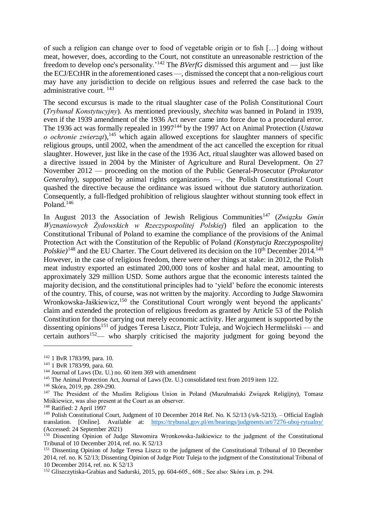of such a religion can change over to food of vegetable origin or to fish […] doing without meat, however, does, according to the Court, not constitute an unreasonable restriction of the freedom to develop one's personality.'<sup>142</sup> The *BVerfG* dismissed this argument and — just like the ECJ/ECtHR in the aforementioned cases —, dismissed the concept that a non-religious court may have any jurisdiction to decide on religious issues and referred the case back to the administrative court. <sup>143</sup>

The second excursus is made to the ritual slaughter case of the Polish Constitutional Court (*Trybunał Konstytucyjny*)*.* As mentioned previously, *shechita* was banned in Poland in 1939, even if the 1939 amendment of the 1936 Act never came into force due to a procedural error. The 1936 act was formally repealed in 1997<sup>144</sup> by the 1997 Act on Animal Protection (*Ustawa o ochronie zwierząt*), <sup>145</sup> which again allowed exceptions for slaughter manners of specific religious groups, until 2002, when the amendment of the act cancelled the exception for ritual slaughter. However, just like in the case of the 1936 Act, ritual slaughter was allowed based on a directive issued in 2004 by the Minister of Agriculture and Rural Development. On 27 November 2012 — proceeding on the motion of the Public General-Prosecutor (*Prokurator Generalny*), supported by animal rights organizations —, the Polish Constitutional Court quashed the directive because the ordinance was issued without due statutory authorization. Consequently, a full-fledged prohibition of religious slaughter without stunning took effect in Poland.<sup>146</sup>

In August 2013 the Association of Jewish Religious Communities<sup>147</sup> (*Związku Gmin*) *Wyznaniowych Żydowskich w Rzeczypospolitej Polskiej*) filed an application to the Constitutional Tribunal of Poland to examine the compliance of the provisions of the Animal Protection Act with the Constitution of the Republic of Poland *(Konstytucja Rzeczypospolitej Polskie*)<sup>148</sup> and the EU Charter. The Court delivered its decision on the 10<sup>th</sup> December 2014.<sup>149</sup> However, in the case of religious freedom, there were other things at stake: in 2012, the Polish meat industry exported an estimated 200,000 tons of kosher and halal meat, amounting to approximately 329 million USD. Some authors argue that the economic interests tainted the majority decision, and the constitutional principles had to 'yield' before the economic interests of the country. This, of course, was not written by the majority. According to Judge *S*ławomira Wronkowska-Jaśkiewicz,<sup>150</sup> the Constitutional Court wrongly went beyond the applicants' claim and extended the protection of religious freedom as granted by Article 53 of the Polish Constitution for those carrying out merely economic activity. Her argument is supported by the dissenting opinions<sup>151</sup> of judges Teresa Liszcz, Piotr Tuleja, and Wojciech Hermeliński — and certain authors<sup>152</sup>— who sharply criticised the majority judgment for going beyond the

<sup>142</sup> 1 BvR 1783/99, para. 10.

<sup>143</sup> 1 BvR 1783/99, para. 60.

 $144$  Journal of Laws (Dz. U.) no. 60 item 369 with amendment

<sup>&</sup>lt;sup>145</sup> The Animal Protection Act, Journal of Laws (Dz. U.) consolidated text from 2019 item 122.

<sup>146</sup> Skóra, 2019, pp. 289-290.

<sup>&</sup>lt;sup>147</sup> The President of the Muslim Religious Union in Poland (Muzułmański Związek Religijny), Tomasz Miśkiewicz, was also present at the Court as an observer.

<sup>148</sup> Ratified: 2 April 1997

<sup>&</sup>lt;sup>149</sup> Polish Constitutional Court, Judgment of 10 December 2014 Ref. No. K 52/13 (/s/k-5213). – Official English translation. [Online]. Available at: <https://trybunal.gov.pl/en/hearings/judgments/art/7276-uboj-rytualny/> (Accessed: 24 September 2021)

<sup>150</sup> Dissenting Opinion of Judge Sławomira Wronkowska-Jaśkiewicz to the judgment of the Constitutional Tribunal of 10 December 2014, ref. no. K 52/13

<sup>&</sup>lt;sup>151</sup> Dissenting Opinion of Judge Teresa Liszcz to the judgment of the Constitutional Tribunal of 10 December 2014, ref. no. K 52/13; Dissenting Opinion of Judge Piotr Tuleja to the judgment of the Constitutional Tribunal of 10 December 2014, ref. no. K 52/13

<sup>152</sup> Gliszczytiska-Grabias and Sadurski, 2015, pp. 604-605., 608.; See also: Skóra i.m. p. 294.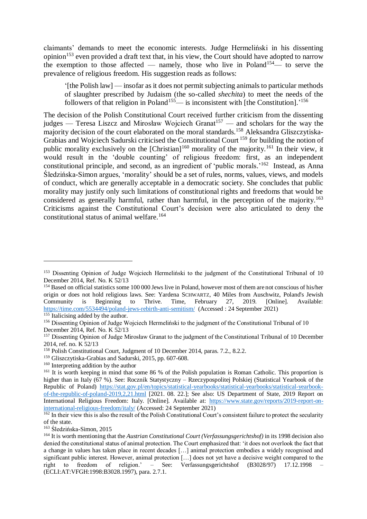claimants' demands to meet the economic interests. Judge Hermeliński in his dissenting opinion<sup>153</sup> even provided a draft text that, in his view, the Court should have adopted to narrow the exemption to those affected — namely, those who live in Poland<sup>154</sup>— to serve the prevalence of religious freedom. His suggestion reads as follows:

'[the Polish law] — insofar as it does not permit subjecting animals to particular methods of slaughter prescribed by Judaism (the so-called *shechita*) to meet the needs of the followers of that religion in Poland<sup>155</sup>— is inconsistent with [the Constitution].<sup>'156</sup>

The decision of the Polish Constitutional Court received further criticism from the dissenting judges — Teresa Liszcz and Mirosław Wojciech Granat<sup>157</sup> — and scholars for the way the majority decision of the court elaborated on the moral standards.<sup>158</sup> Aleksandra Gliszczytiska-Grabias and Wojciech Sadurski criticised the Constitutional Court <sup>159</sup> for building the notion of public morality exclusively on the [Christian]<sup>160</sup> morality of the majority.<sup>161</sup> In their view, it would result in the 'double counting' of religious freedom: first, as an independent constitutional principle, and second, as an ingredient of 'public morals.'<sup>162</sup> Instead, as Anna Śledzińska-Simon argues, 'morality' should be a set of rules, norms, values, views, and models of conduct, which are generally acceptable in a democratic society*.* She concludes that public morality may justify only such limitations of constitutional rights and freedoms that would be considered as generally harmful, rather than harmful, in the perception of the majority*.* 163 Criticisms against the Constitutional Court's decision were also articulated to deny the constitutional status of animal welfare.<sup>164</sup>

-

<sup>&</sup>lt;sup>153</sup> Dissenting Opinion of Judge Wojciech Hermeliński to the judgment of the Constitutional Tribunal of 10 December 2014, Ref. No. K 52/13

<sup>&</sup>lt;sup>154</sup> Based on official statistics some 100 000 Jews live in Poland, however most of them are not conscious of his/her origin or does not hold religious laws. See: Yardena SCHWARTZ, 40 Miles from Auschwitz, Poland's Jewish<br>Community is Beginning to Thrive. Time, February 27, 2019. [Online]. Available: Community is Beginning to Thrive. Time, February 27, 2019. [Online]. Available: <https://time.com/5534494/poland-jews-rebirth-anti-semitism/>(Accessed : 24 September 2021)

<sup>&</sup>lt;sup>155</sup> Italicising added by the author.

<sup>&</sup>lt;sup>156</sup> Dissenting Opinion of Judge Wojciech Hermeliński to the judgment of the Constitutional Tribunal of 10 December 2014, Ref. No. K 52/13

<sup>&</sup>lt;sup>157</sup> Dissenting Opinion of Judge Mirosław Granat to the judgment of the Constitutional Tribunal of 10 December 2014, ref. no. K 52/13

<sup>158</sup> Polish Constitutional Court, Judgment of 10 December 2014, paras. 7.2., 8.2.2.

<sup>159</sup> Gliszczytiska-Grabias and Sadurski, 2015, pp. 607-608.

<sup>160</sup> Interpreting addition by the author

<sup>&</sup>lt;sup>161</sup> It is worth keeping in mind that some 86 % of the Polish population is Roman Catholic. This proportion is higher than in Italy (67 %). See: Rocznik Statystyczny – Rzeczypospolitej Polskiej (Statistical Yearbook of the Republic of Poland) [https://stat.gov.pl/en/topics/statistical-yearbooks/statistical-yearbooks/statistical-yearbook](https://stat.gov.pl/en/topics/statistical-yearbooks/statistical-yearbooks/statistical-yearbook-of-the-republic-of-poland-2019,2,21.html)[of-the-republic-of-poland-2019,2,21.html](https://stat.gov.pl/en/topics/statistical-yearbooks/statistical-yearbooks/statistical-yearbook-of-the-republic-of-poland-2019,2,21.html) [2021. 08. 22.]; See also: US Department of State, 2019 Report on International Religious Freedom: Italy. [Online]. Available at: [https://www.state.gov/reports/2019-report-on](https://www.state.gov/reports/2019-report-on-international-religious-freedom/italy/)[international-religious-freedom/italy/](https://www.state.gov/reports/2019-report-on-international-religious-freedom/italy/) (Accessed: 24 September 2021)

 $\frac{162}{162}$  In their view this is also the result of the Polish Constitutional Court's consistent failure to protect the secularity of the state.

<sup>163</sup> Śledzińska-Simon, 2015

<sup>164</sup> It is worth mentioning that the *Austrian Constitutional Court (Verfassungsgerichtshof)* in its 1998 decision also denied the constitutional status of animal protection. The Court emphasized that: 'it does not overlook the fact that a change in values has taken place in recent decades […] animal protection embodies a widely recognised and significant public interest. However, animal protection […] does not yet have a decisive weight compared to the right to freedom of religion.' – See: Verfassungsgerichtshof (B3028/97) 17.12.1998 – (ECLI:AT:VFGH:1998:B3028.1997), para. 2.7.1.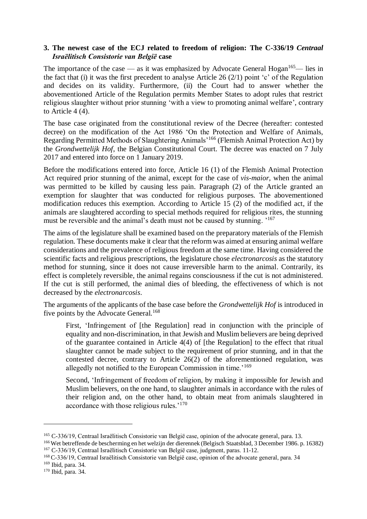## **3. The newest case of the ECJ related to freedom of religion: The C-336/19** *Centraal Israëlitisch Consistorie van België* **case**

The importance of the case — as it was emphasized by Advocate General Hogan<sup>165</sup>— lies in the fact that (i) it was the first precedent to analyse Article 26 (2/1) point 'c' of the Regulation and decides on its validity. Furthermore, (ii) the Court had to answer whether the abovementioned Article of the Regulation permits Member States to adopt rules that restrict religious slaughter without prior stunning 'with a view to promoting animal welfare', contrary to Article 4 (4).

The base case originated from the constitutional review of the Decree (hereafter: contested decree) on the modification of the Act 1986 'On the Protection and Welfare of Animals, Regarding Permitted Methods of Slaughtering Animals'<sup>166</sup> (Flemish Animal Protection Act) by the *Grondwettelijk Hof*, the Belgian Constitutional Court. The decree was enacted on 7 July 2017 and entered into force on 1 January 2019.

Before the modifications entered into force, Article 16 (1) of the Flemish Animal Protection Act required prior stunning of the animal, except for the case of *vis-maior*, when the animal was permitted to be killed by causing less pain. Paragraph (2) of the Article granted an exemption for slaughter that was conducted for religious purposes. The abovementioned modification reduces this exemption*.* According to Article 15 (2) of the modified act, if the animals are slaughtered according to special methods required for religious rites, the stunning must be reversible and the animal's death must not be caused by stunning. '<sup>167</sup>

The aims of the legislature shall be examined based on the preparatory materials of the Flemish regulation. These documents make it clear that the reform was aimed at ensuring animal welfare considerations and the prevalence of religious freedom at the same time. Having considered the scientific facts and religious prescriptions, the legislature chose *electronarcosis* as the statutory method for stunning, since it does not cause irreversible harm to the animal. Contrarily, its effect is completely reversible, the animal regains consciousness if the cut is not administered. If the cut is still performed, the animal dies of bleeding, the effectiveness of which is not decreased by the *electronarcosis*.

The arguments of the applicants of the base case before the *Grondwettelijk Hof* is introduced in five points by the Advocate General.<sup>168</sup>

First, 'Infringement of [the Regulation] read in conjunction with the principle of equality and non-discrimination, in that Jewish and Muslim believers are being deprived of the guarantee contained in Article 4(4) of [the Regulation] to the effect that ritual slaughter cannot be made subject to the requirement of prior stunning, and in that the contested decree, contrary to Article 26(2) of the aforementioned regulation, was allegedly not notified to the European Commission in time.<sup>'169</sup>

Second, 'Infringement of freedom of religion, by making it impossible for Jewish and Muslim believers, on the one hand, to slaughter animals in accordance with the rules of their religion and, on the other hand, to obtain meat from animals slaughtered in accordance with those religious rules.<sup>'170</sup>

<sup>165</sup> C-336/19, Centraal Israëlitisch Consistorie van België case, opinion of the advocate general, para. 13.

<sup>&</sup>lt;sup>166</sup> Wet betreffende de bescherming en het welzijn der dierennek (Belgisch Staatsblad, 3 December 1986. p. 16382) <sup>167</sup> C-336/19, Centraal Israëlitisch Consistorie van België case, judgment, paras. 11-12.

<sup>168</sup> C-336/19, Centraal Israëlitisch Consistorie van België case, opinion of the advocate general, para. 34

<sup>169</sup> Ibid, para. 34.

<sup>170</sup> Ibid, para. 34.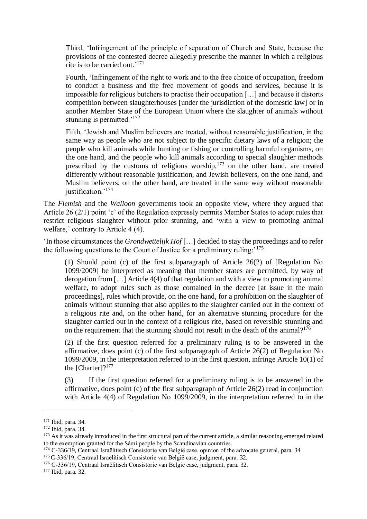Third, 'Infringement of the principle of separation of Church and State, because the provisions of the contested decree allegedly prescribe the manner in which a religious rite is to be carried out.' 171

Fourth, 'Infringement of the right to work and to the free choice of occupation, freedom to conduct a business and the free movement of goods and services, because it is impossible for religious butchers to practise their occupation […] and because it distorts competition between slaughterhouses [under the jurisdiction of the domestic law] or in another Member State of the European Union where the slaughter of animals without stunning is permitted.<sup>'172</sup>

Fifth, 'Jewish and Muslim believers are treated, without reasonable justification, in the same way as people who are not subject to the specific dietary laws of a religion; the people who kill animals while hunting or fishing or controlling harmful organisms, on the one hand, and the people who kill animals according to special slaughter methods prescribed by the customs of religious worship, $173$  on the other hand, are treated differently without reasonable justification, and Jewish believers, on the one hand, and Muslim believers, on the other hand, are treated in the same way without reasonable justification.'<sup>174</sup>

The *Flemish* and the *Walloon* governments took an opposite view, where they argued that Article 26 (2/1) point 'c' of the Regulation expressly permits Member States to adopt rules that restrict religious slaughter without prior stunning, and 'with a view to promoting animal welfare,' contrary to Article 4 (4).

'In those circumstances the *Grondwettelijk Hof* […] decided to stay the proceedings and to refer the following questions to the Court of Justice for a preliminary ruling:<sup>175</sup>

(1) Should point (c) of the first subparagraph of Article 26(2) of [Regulation No 1099/2009] be interpreted as meaning that member states are permitted, by way of derogation from […] Article 4(4) of that regulation and with a view to promoting animal welfare, to adopt rules such as those contained in the decree [at issue in the main proceedings], rules which provide, on the one hand, for a prohibition on the slaughter of animals without stunning that also applies to the slaughter carried out in the context of a religious rite and, on the other hand, for an alternative stunning procedure for the slaughter carried out in the context of a religious rite, based on reversible stunning and on the requirement that the stunning should not result in the death of the animal?<sup>176</sup>

(2) If the first question referred for a preliminary ruling is to be answered in the affirmative, does point (c) of the first subparagraph of Article 26(2) of Regulation No 1099/2009, in the interpretation referred to in the first question, infringe Article 10(1) of the [Charter]?<sup>177</sup>

(3) If the first question referred for a preliminary ruling is to be answered in the affirmative, does point (c) of the first subparagraph of Article 26(2) read in conjunction with Article 4(4) of Regulation No 1099/2009, in the interpretation referred to in the

**.** 

<sup>175</sup> C-336/19, Centraal Israëlitisch Consistorie van België case, judgment, para. 32.

<sup>171</sup> Ibid, para. 34.

<sup>172</sup> Ibid, para. 34.

<sup>&</sup>lt;sup>173</sup> As it was already introduced in the first structural part of the current article, a similar reasoning emerged related to the exemption granted for the Sámi people by the Scandinavian countries.

<sup>174</sup> C-336/19, Centraal Israëlitisch Consistorie van België case, opinion of the advocate general, para. 34

<sup>176</sup> C-336/19, Centraal Israëlitisch Consistorie van België case, judgment, para. 32.

<sup>177</sup> Ibid, para. 32.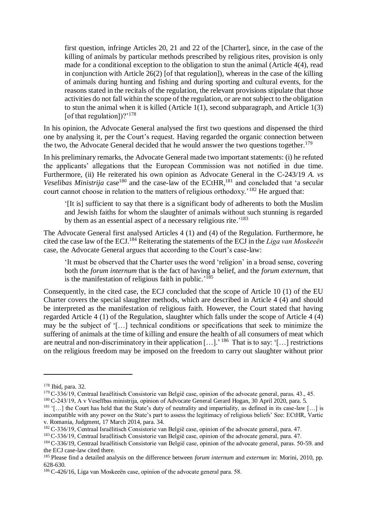first question, infringe Articles 20, 21 and 22 of the [Charter], since, in the case of the killing of animals by particular methods prescribed by religious rites, provision is only made for a conditional exception to the obligation to stun the animal (Article 4(4), read in conjunction with Article 26(2) [of that regulation]), whereas in the case of the killing of animals during hunting and fishing and during sporting and cultural events, for the reasons stated in the recitals of the regulation, the relevant provisions stipulate that those activities do not fall within the scope of the regulation, or are not subject to the obligation to stun the animal when it is killed (Article  $1(1)$ , second subparagraph, and Article  $1(3)$ ) [of that regulation])? $178$ 

In his opinion, the Advocate General analysed the first two questions and dispensed the third one by analysing it, per the Court's request. Having regarded the organic connection between the two, the Advocate General decided that he would answer the two questions together.<sup>179</sup>

In his preliminary remarks, the Advocate General made two important statements: (i) he refuted the applicants' allegations that the European Commission was not notified in due time. Furthermore, (ii) He reiterated his own opinion as Advocate General in the C-243/19 *A. vs Veselibas Ministrija* case<sup>180</sup> and the case-law of the ECtHR,<sup>181</sup> and concluded that 'a secular court cannot choose in relation to the matters of religious orthodoxy.<sup>'182</sup> He argued that:

'[It is] sufficient to say that there is a significant body of adherents to both the Muslim and Jewish faiths for whom the slaughter of animals without such stunning is regarded by them as an essential aspect of a necessary religious rite.<sup>'183</sup>

The Advocate General first analysed Articles 4 (1) and (4) of the Regulation. Furthermore, he cited the case law of the ECJ. <sup>184</sup> Reiterating the statements of the ECJ in the *Liga van Moskeeën* case, the Advocate General argues that according to the Court's case-law:

'It must be observed that the Charter uses the word 'religion' in a broad sense, covering both the *forum internum* that is the fact of having a belief, and the *forum externum*, that is the manifestation of religious faith in public.<sup>'185</sup>

Consequently, in the cited case, the ECJ concluded that the scope of Article 10 (1) of the EU Charter covers the special slaughter methods, which are described in Article 4 (4) and should be interpreted as the manifestation of religious faith. However, the Court stated that having regarded Article 4 (1) of the Regulation, slaughter which falls under the scope of Article 4 (4) may be the subject of '[…] technical conditions or specifications that seek to minimize the suffering of animals at the time of killing and ensure the health of all consumers of meat which are neutral and non-discriminatory in their application  $[...]$ . <sup>186</sup> That is to say: '[...] restrictions on the religious freedom may be imposed on the freedom to carry out slaughter without prior

<sup>178</sup> Ibid, para. 32.

<sup>179</sup> C-336/19, Centraal Israëlitisch Consistorie van België case, opinion of the advocate general, paras. 43., 45.

<sup>180</sup> C-243/19, A v Veselības ministrija, opinion of Advocate General Gerard Hogan, 30 April 2020, para. 5.

<sup>&</sup>lt;sup>181</sup> '[...] the Court has held that the State's duty of neutrality and impartiality, as defined in its case-law [...] is incompatible with any power on the State's part to assess the legitimacy of religious beliefs' See: ECtHR, Vartic v. Romania, Judgment, 17 March 2014, para. 34.

<sup>182</sup> C-336/19, Centraal Israëlitisch Consistorie van België case, opinion of the advocate general, para. 47.

<sup>183</sup> C-336/19, Centraal Israëlitisch Consistorie van België case, opinion of the advocate general, para. 47.

<sup>184</sup> C-336/19, Centraal Israëlitisch Consistorie van België case, opinion of the advocate general, paras. 50-59. and the ECJ case-law cited there.

<sup>185</sup> Please find a detailed analysis on the difference between *forum internum* and *externum* in: Morini, 2010, pp. 628-630.

<sup>186</sup> C-426/16, Liga van Moskeeën case, opinion of the advocate general para. 58.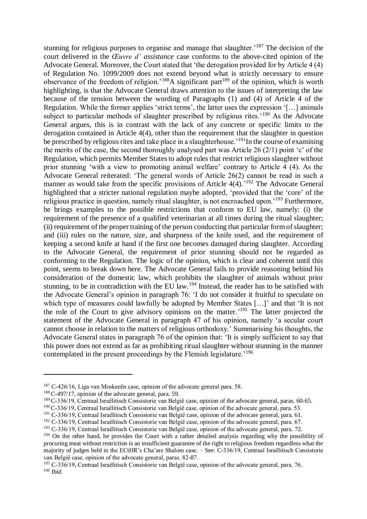stunning for religious purposes to organise and manage that slaughter.<sup>187</sup> The decision of the court delivered in the *Œuvre d' assistance* case conforms to the above-cited opinion of the Advocate General. Moreover, the Court stated that 'the derogation provided for by Article 4 (4) of Regulation No. 1099/2009 does not extend beyond what is strictly necessary to ensure observance of the freedom of religion.<sup>'188</sup>A significant part<sup>189</sup> of the opinion, which is worth highlighting, is that the Advocate General draws attention to the issues of interpreting the law because of the tension between the wording of Paragraphs (1) and (4) of Article 4 of the Regulation. While the former applies 'strict terms', the latter uses the expression '[…] animals subject to particular methods of slaughter prescribed by religious rites.<sup>'190</sup> As the Advocate General argues, this is in contrast with the lack of any concrete or specific limits to the derogation contained in Article 4(4), other than the requirement that the slaughter in question be prescribed by religious rites and take place in a slaughterhouse.<sup>'191</sup>In the course of examining the merits of the case, the second thoroughly analysed part was Article 26 (2/1) point 'c' of the Regulation, which permits Member States to adopt rules that restrict religious slaughter without prior stunning 'with a view to promoting animal welfare' contrary to Article 4 (4). As the Advocate General reiterated: 'The general words of Article 26(2) cannot be read in such a manner as would take from the specific provisions of Article  $4(4)$ .<sup>192</sup> The Advocate General highlighted that a stricter national regulation maybe adopted, 'provided that the 'core' of the religious practice in question, namely ritual slaughter, is not encroached upon.'<sup>193</sup> Furthermore, he brings examples to the possible restrictions that conform to EU law, namely: (i) the requirement of the presence of a qualified veterinarian at all times during the ritual slaughter; (ii) requirement of the proper training of the person conducting that particular form of slaughter; and (iii) rules on the nature, size, and sharpness of the knife used, and the requirement of keeping a second knife at hand if the first one becomes damaged during slaughter*.* According to the Advocate General, the requirement of prior stunning should not be regarded as conforming to the Regulation. The logic of the opinion, which is clear and coherent until this point, seems to break down here. The Advocate General fails to provide reasoning behind his consideration of the domestic law, which prohibits the slaughter of animals without prior stunning, to be in contradiction with the EU law.<sup>194</sup> Instead, the reader has to be satisfied with the Advocate General's opinion in paragraph 76: 'I do not consider it fruitful to speculate on which type of measures could lawfully be adopted by Member States […]' and that 'It is not the role of the Court to give advisory opinions on the matter.<sup>195</sup> The latter projected the statement of the Advocate General in paragraph 47 of his opinion, namely 'a secular court cannot choose in relation to the matters of religious orthodoxy.' Summarising his thoughts, the Advocate General states in paragraph 76 of the opinion that: 'It is simply sufficient to say that this power does not extend as far as prohibiting ritual slaughter without stunning in the manner contemplated in the present proceedings by the Flemish legislature.'<sup>196</sup>

<sup>&</sup>lt;sup>187</sup> C-426/16, Liga van Moskeeën case, opinion of the advocate general para. 58.

<sup>188</sup> C-497/17, opinion of the advocate general, para. 59.

<sup>189</sup> C-336/19, Centraal Israëlitisch Consistorie van België case, opinion of the advocate general, paras. 60-65.

<sup>&</sup>lt;sup>190</sup> C-336/19, Centraal Israëlitisch Consistorie van België case, opinion of the advocate general, para. 53.

<sup>191</sup> C-336/19, Centraal Israëlitisch Consistorie van België case, opinion of the advocate general, para. 61.

<sup>192</sup> C-336/19, Centraal Israëlitisch Consistorie van België case, opinion of the advocate general, para. 67.

<sup>193</sup> C-336/19, Centraal Israëlitisch Consistorie van België case, opinion of the advocate general, para. 72.

<sup>&</sup>lt;sup>194</sup> On the other hand, he provides the Court with a rather detailed analysis regarding why the possibility of procuring meat without restriction is an insufficient guarantee of the right to religious freedom regardless what the majority of judges held in the ECtHR's Cha'are Shalom case. – See: C-336/19, Centraal Israëlitisch Consistorie van België case, opinion of the advocate general, paras. 82-87.

<sup>&</sup>lt;sup>195</sup> C-336/19, Centraal Israëlitisch Consistorie van België case, opinion of the advocate general, para. 76.  $196$  Ibid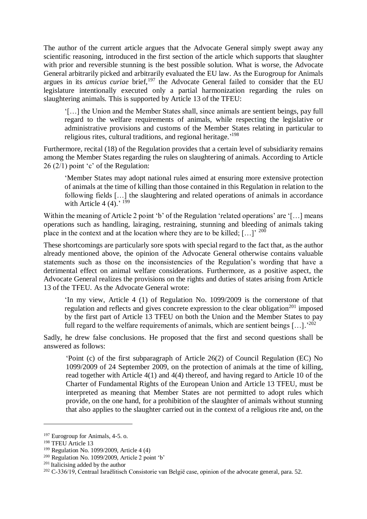The author of the current article argues that the Advocate General simply swept away any scientific reasoning*,* introduced in the first section of the article which supports that slaughter with prior and reversible stunning is the best possible solution. What is worse, the Advocate General arbitrarily picked and arbitrarily evaluated the EU law. As the Eurogroup for Animals argues in its *amicus curiae* brief*,* <sup>197</sup> the Advocate General failed to consider that the EU legislature intentionally executed only a partial harmonization regarding the rules on slaughtering animals*.* This is supported by Article 13 of the TFEU:

'[…] the Union and the Member States shall, since animals are sentient beings, pay full regard to the welfare requirements of animals, while respecting the legislative or administrative provisions and customs of the Member States relating in particular to religious rites, cultural traditions, and regional heritage.'<sup>198</sup>

Furthermore, recital (18) of the Regulation provides that a certain level of subsidiarity remains among the Member States regarding the rules on slaughtering of animals. According to Article 26 (2/1) point 'c' of the Regulation:

'Member States may adopt national rules aimed at ensuring more extensive protection of animals at the time of killing than those contained in this Regulation in relation to the following fields […] the slaughtering and related operations of animals in accordance with Article 4  $(4)$ .'  $^{199}$ 

Within the meaning of Article 2 point 'b' of the Regulation 'related operations' are '[...] means operations such as handling, lairaging, restraining, stunning and bleeding of animals taking place in the context and at the location where they are to be killed;  $[...]^2$  <sup>200</sup>

These shortcomings are particularly sore spots with special regard to the fact that, as the author already mentioned above, the opinion of the Advocate General otherwise contains valuable statements such as those on the inconsistencies of the Regulation's wording that have a detrimental effect on animal welfare considerations. Furthermore, as a positive aspect, the Advocate General realizes the provisions on the rights and duties of states arising from Article 13 of the TFEU*.* As the Advocate General wrote:

'In my view, Article 4 (1) of Regulation No. 1099/2009 is the cornerstone of that regulation and reflects and gives concrete expression to the clear obligation<sup>201</sup> imposed by the first part of Article 13 TFEU on both the Union and the Member States to pay full regard to the welfare requirements of animals, which are sentient beings  $[\dots]$ .<sup>202</sup>

Sadly, he drew false conclusions. He proposed that the first and second questions shall be answered as follows:

'Point (c) of the first subparagraph of Article 26(2) of Council Regulation (EC) No 1099/2009 of 24 September 2009, on the protection of animals at the time of killing, read together with Article 4(1) and 4(4) thereof, and having regard to Article 10 of the Charter of Fundamental Rights of the European Union and Article 13 TFEU, must be interpreted as meaning that Member States are not permitted to adopt rules which provide, on the one hand, for a prohibition of the slaughter of animals without stunning that also applies to the slaughter carried out in the context of a religious rite and, on the

<sup>&</sup>lt;sup>197</sup> Eurogroup for Animals, 4-5. o.

<sup>&</sup>lt;sup>198</sup> TFEU Article 13

<sup>199</sup> Regulation No. 1099/2009, Article 4 (4)

<sup>200</sup> Regulation No. 1099/2009, Article 2 point 'b'

<sup>&</sup>lt;sup>201</sup> Italicising added by the author

<sup>&</sup>lt;sup>202</sup> C-336/19, Centraal Israëlitisch Consistorie van België case, opinion of the advocate general, para. 52.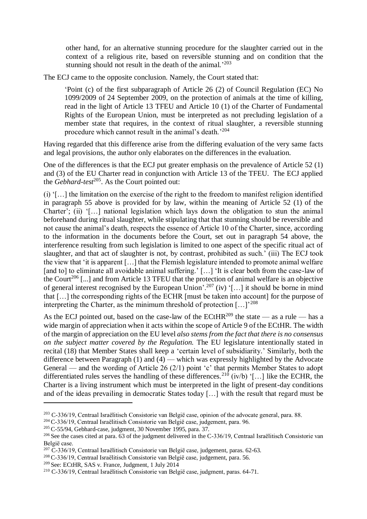other hand, for an alternative stunning procedure for the slaughter carried out in the context of a religious rite, based on reversible stunning and on condition that the stunning should not result in the death of the animal.<sup>'203</sup>

The ECJ came to the opposite conclusion. Namely, the Court stated that:

'Point (c) of the first subparagraph of Article 26 (2) of Council Regulation (EC) No 1099/2009 of 24 September 2009, on the protection of animals at the time of killing, read in the light of Article 13 TFEU and Article 10 (1) of the Charter of Fundamental Rights of the European Union, must be interpreted as not precluding legislation of a member state that requires, in the context of ritual slaughter, a reversible stunning procedure which cannot result in the animal's death.<sup>'204</sup>

Having regarded that this difference arise from the differing evaluation of the very same facts and legal provisions, the author only elaborates on the differences in the evaluation.

One of the differences is that the ECJ put greater emphasis on the prevalence of Article 52 (1) and (3) of the EU Charter read in conjunction with Article 13 of the TFEU. The ECJ applied the *Gebhard-test*<sup>205</sup>. As the Court pointed out:

(i) '[…] the limitation on the exercise of the right to the freedom to manifest religion identified in paragraph 55 above is provided for by law, within the meaning of Article 52 (1) of the Charter'; (ii) '[...] national legislation which lays down the obligation to stun the animal beforehand during ritual slaughter, while stipulating that that stunning should be reversible and not cause the animal's death, respects the essence of Article 10 of the Charter, since, according to the information in the documents before the Court, set out in paragraph 54 above, the interference resulting from such legislation is limited to one aspect of the specific ritual act of slaughter, and that act of slaughter is not, by contrast, prohibited as such.' (iii) The ECJ took the view that 'it is apparent […] that the Flemish legislature intended to promote animal welfare [and to] to eliminate all avoidable animal suffering.' [...] 'It is clear both from the case-law of the Court<sup>206</sup> [...] and from Article 13 TFEU that the protection of animal welfare is an objective of general interest recognised by the European Union'.<sup>207</sup> (iv) '[…] it should be borne in mind that […] the corresponding rights of the ECHR [must be taken into account] for the purpose of interpreting the Charter, as the minimum threshold of protection  $[...]^{208}$ 

As the ECJ pointed out, based on the case-law of the ECtHR<sup>209</sup> the state — as a rule — has a wide margin of appreciation when it acts within the scope of Article 9 of the ECtHR. The width of the margin of appreciation on the EU level *also stems from the fact that there is no consensus on the subject matter covered by the Regulation.* The EU legislature intentionally stated in recital (18) that Member States shall keep a 'certain level of subsidiarity.' Similarly, both the difference between Paragraph (1) and (4) — which was expressly highlighted by the Advocate General — and the wording of Article 26 (2/1) point 'c' that permits Member States to adopt differentiated rules serves the handling of these differences.<sup>210</sup> (iv/b) '[...] like the ECHR, the Charter is a living instrument which must be interpreted in the light of present-day conditions and of the ideas prevailing in democratic States today […] with the result that regard must be

<sup>203</sup> C-336/19, Centraal Israëlitisch Consistorie van België case, opinion of the advocate general, para. 88.

<sup>204</sup> C-336/19, Centraal Israëlitisch Consistorie van België case, judgement, para. 96.

<sup>205</sup> C-55/94, Gebhard-case, judgment, 30 November 1995, para. 37.

<sup>&</sup>lt;sup>206</sup> See the cases cited at para. 63 of the judgment delivered in the C-336/19, Centraal Israëlitisch Consistorie van België case.

<sup>&</sup>lt;sup>207</sup> C-336/19, Centraal Israëlitisch Consistorie van België case, judgement, paras. 62-63.

<sup>208</sup> C-336/19, Centraal Israëlitisch Consistorie van België case, judgement, para. 56.

<sup>209</sup> See: ECtHR, SAS v. France, Judgment, 1 July 2014

<sup>210</sup> C-336/19, Centraal Israëlitisch Consistorie van België case, judgment, paras. 64-71.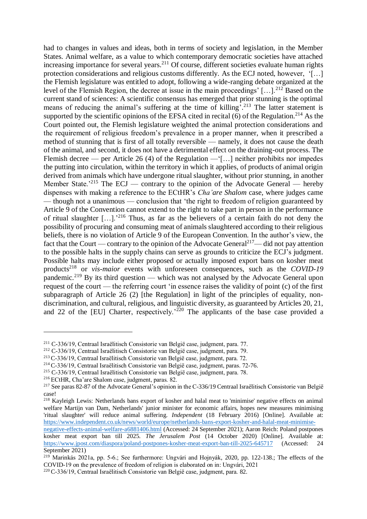had to changes in values and ideas, both in terms of society and legislation, in the Member States. Animal welfare, as a value to which contemporary democratic societies have attached increasing importance for several years.<sup>211</sup> Of course, different societies evaluate human rights protection considerations and religious customs differently. As the ECJ noted, however, '[…] the Flemish legislature was entitled to adopt, following a wide-ranging debate organized at the level of the Flemish Region, the decree at issue in the main proceedings' […].<sup>212</sup> Based on the current stand of sciences: A scientific consensus has emerged that prior stunning is the optimal means of reducing the animal's suffering at the time of killing'.<sup>213</sup> The latter statement is supported by the scientific opinions of the EFSA cited in recital  $(6)$  of the Regulation.<sup>214</sup> As the Court pointed out, the Flemish legislature weighted the animal protection considerations and the requirement of religious freedom's prevalence in a proper manner, when it prescribed a method of stunning that is first of all totally reversible — namely, it does not cause the death of the animal, and second, it does not have a detrimental effect on the draining-out process. The Flemish decree — per Article 26 (4) of the Regulation —'[…] neither prohibits nor impedes the putting into circulation, within the territory in which it applies, of products of animal origin derived from animals which have undergone ritual slaughter, without prior stunning, in another Member State.<sup>215</sup> The ECJ — contrary to the opinion of the Advocate General — hereby dispenses with making a reference to the ECtHR's *Cha'are Shalom* case, where judges came — though not a unanimous — conclusion that 'the right to freedom of religion guaranteed by Article 9 of the Convention cannot extend to the right to take part in person in the performance of ritual slaughter […].'<sup>216</sup> Thus, as far as the believers of a certain faith do not deny the possibility of procuring and consuming meat of animals slaughtered according to their religious beliefs, there is no violation of Article 9 of the European Convention. In the author's view, the fact that the Court — contrary to the opinion of the Advocate General<sup>217</sup>— did not pay attention to the possible halts in the supply chains can serve as grounds to criticize the ECJ's judgment. Possible halts may include either proposed or actually imposed export bans on kosher meat products<sup>218</sup> or *vis-maior* events with unforeseen consequences, such as the *COVID-19* pandemic.<sup>219</sup> By its third question — which was not analysed by the Advocate General upon request of the court — the referring court 'in essence raises the validity of point (c) of the first subparagraph of Article 26 (2) [the Regulation] in light of the principles of equality, nondiscrimination, and cultural, religious, and linguistic diversity, as guaranteed by Articles 20, 21, and 22 of the [EU] Charter, respectively.<sup> $220$ </sup> The applicants of the base case provided a

<sup>211</sup> C-336/19, Centraal Israëlitisch Consistorie van België case, judgment, para. 77.

<sup>212</sup> C-336/19, Centraal Israëlitisch Consistorie van België case, judgment, para. 79.

<sup>213</sup> C-336/19, Centraal Israëlitisch Consistorie van België case, judgment, para. 72.

<sup>214</sup> C-336/19, Centraal Israëlitisch Consistorie van België case, judgment, paras. 72-76.

<sup>215</sup> C-336/19, Centraal Israëlitisch Consistorie van België case, judgment, para. 78.

<sup>216</sup> ECtHR, Cha'are Shalom case, judgment, paras. 82.

<sup>217</sup> See paras 82-87 of the Advocate General's opinion in the C-336/19 Centraal Israëlitisch Consistorie van België case!

<sup>218</sup> Kayleigh Lewis: Netherlands bans export of kosher and halal meat to 'minimise' negative effects on animal welfare Martijn van Dam, Netherlands' junior minister for economic affairs, hopes new measures minimising 'ritual slaughter' will reduce animal suffering. *Independent* (18 February 2016) [Online]. Available at: [https://www.independent.co.uk/news/world/europe/netherlands-bans-export-kosher-and-halal-meat-minimise-](https://www.independent.co.uk/news/world/europe/netherlands-bans-export-kosher-and-halal-meat-minimise-negative-effects-animal-welfare-a6881406.html)

[negative-effects-animal-welfare-a6881406.html](https://www.independent.co.uk/news/world/europe/netherlands-bans-export-kosher-and-halal-meat-minimise-negative-effects-animal-welfare-a6881406.html) (Accessed: 24 September 2021); Aaron Reich: Poland postpones kosher meat export ban till 2025. *The Jerusalem Post* (14 October 2020) [Online]. Available at: <https://www.jpost.com/diaspora/poland-postpones-kosher-meat-export-ban-till-2025-645717> (Accessed: 24 September 2021)

<sup>&</sup>lt;sup>219</sup> Marinkás 2021a, pp. 5-6.; See furthermore: Ungvári and Hojnyák, 2020, pp. 122-138.; The effects of the COVID-19 on the prevalence of freedom of religion is elaborated on in: Ungvári, 2021

<sup>220</sup> C-336/19, Centraal Israëlitisch Consistorie van België case, judgment, para. 82.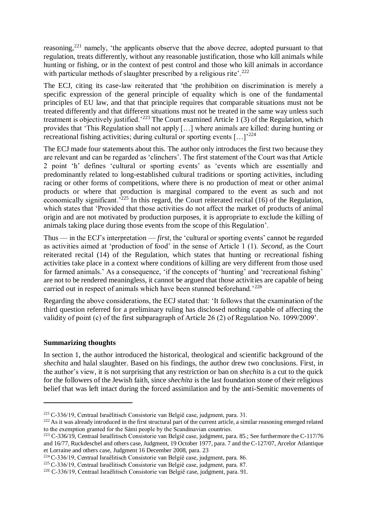reasoning,<sup>221</sup> namely, 'the applicants observe that the above decree, adopted pursuant to that regulation, treats differently, without any reasonable justification, those who kill animals while hunting or fishing, or in the context of pest control and those who kill animals in accordance with particular methods of slaughter prescribed by a religious rite'.<sup>222</sup>

The ECJ, citing its case-law reiterated that 'the prohibition on discrimination is merely a specific expression of the general principle of equality which is one of the fundamental principles of EU law, and that that principle requires that comparable situations must not be treated differently and that different situations must not be treated in the same way unless such treatment is objectively justified.'<sup>223</sup> The Court examined Article 1 (3) of the Regulation, which provides that 'This Regulation shall not apply […] where animals are killed: during hunting or recreational fishing activities; during cultural or sporting events  $[\dots]^{224}$ 

The ECJ made four statements about this. The author only introduces the first two because they are relevant and can be regarded as 'clinchers'. The first statement of the Court was that Article 2 point 'h' defines 'cultural or sporting events' as 'events which are essentially and predominantly related to long-established cultural traditions or sporting activities, including racing or other forms of competitions, where there is no production of meat or other animal products or where that production is marginal compared to the event as such and not economically significant.<sup> $225$ </sup> In this regard, the Court reiterated recital (16) of the Regulation, which states that 'Provided that those activities do not affect the market of products of animal origin and are not motivated by production purposes, it is appropriate to exclude the killing of animals taking place during those events from the scope of this Regulation'.

Thus — in the ECJ's interpretation — *first*, the 'cultural or sporting events' cannot be regarded as activities aimed at 'production of food' in the sense of Article 1 (1). *Second*, as the Court reiterated recital (14) of the Regulation, which states that hunting or recreational fishing activities take place in a context where conditions of killing are very different from those used for farmed animals.' As a consequence, 'if the concepts of 'hunting' and 'recreational fishing' are not to be rendered meaningless, it cannot be argued that those activities are capable of being carried out in respect of animals which have been stunned beforehand.<sup>'226</sup>

Regarding the above considerations, the ECJ stated that: 'It follows that the examination of the third question referred for a preliminary ruling has disclosed nothing capable of affecting the validity of point (c) of the first subparagraph of Article 26 (2) of Regulation No. 1099/2009'.

## **Summarizing thoughts**

1

In section 1, the author introduced the historical, theological and scientific background of the *shechita* and halal slaughter. Based on his findings, the author drew two conclusions. First, in the author's view, it is not surprising that any restriction or ban on *shechita* is a cut to the quick for the followers of the Jewish faith, since *shechita* is the last foundation stone of their religious belief that was left intact during the forced assimilation and by the anti-Semitic movements of

<sup>221</sup> C-336/19, Centraal Israëlitisch Consistorie van België case, judgment, para. 31.

 $^{222}$  As it was already introduced in the first structural part of the current article, a similar reasoning emerged related to the exemption granted for the Sámi people by the Scandinavian countries.

<sup>223</sup> C-336/19, Centraal Israëlitisch Consistorie van België case, judgment, para. 85.; See furthermore the C-117/76 and 16/77, Ruckdeschel and others case, Judgment, 19 October 1977, para. 7 and the C-127/07, Arcelor Atlantique et Lorraine and others case, Judgment 16 December 2008, para. 23

<sup>224</sup> C-336/19, Centraal Israëlitisch Consistorie van België case, judgment, para. 86.

<sup>225</sup> C-336/19, Centraal Israëlitisch Consistorie van België case, judgment, para. 87.

<sup>226</sup> C-336/19, Centraal Israëlitisch Consistorie van België case, judgment, para. 91.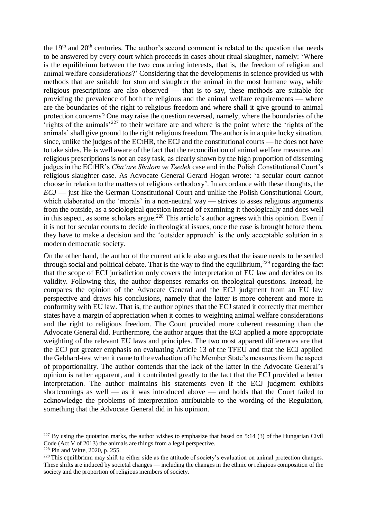the  $19<sup>th</sup>$  and  $20<sup>th</sup>$  centuries. The author's second comment is related to the question that needs to be answered by every court which proceeds in cases about ritual slaughter, namely: 'Where is the equilibrium between the two concurring interests, that is, the freedom of religion and animal welfare considerations?' Considering that the developments in science provided us with methods that are suitable for stun and slaughter the animal in the most humane way, while religious prescriptions are also observed — that is to say, these methods are suitable for providing the prevalence of both the religious and the animal welfare requirements — where are the boundaries of the right to religious freedom and where shall it give ground to animal protection concerns? One may raise the question reversed, namely, where the boundaries of the 'rights of the animals'<sup>227</sup> to their welfare are and where is the point where the 'rights of the animals' shall give ground to the right religious freedom. The author is in a quite lucky situation, since, unlike the judges of the ECtHR, the ECJ and the constitutional courts — he does not have to take sides. He is well aware of the fact that the reconciliation of animal welfare measures and religious prescriptions is not an easy task, as clearly shown by the high proportion of dissenting judges in the ECtHR's *Cha'are Shalom ve Tsedek* case and in the Polish Constitutional Court's religious slaughter case. As Advocate General Gerard Hogan wrote: 'a secular court cannot choose in relation to the matters of religious orthodoxy'. In accordance with these thoughts, the *ECJ* — just like the German Constitutional Court and unlike the Polish Constitutional Court, which elaborated on the 'morals' in a non-neutral way — strives to asses religious arguments from the outside, as a sociological question instead of examining it theologically and does well in this aspect, as some scholars argue*.* <sup>228</sup> This article's author agrees with this opinion. Even if it is not for secular courts to decide in theological issues, once the case is brought before them, they have to make a decision and the 'outsider approach' is the only acceptable solution in a modern democratic society.

On the other hand, the author of the current article also argues that the issue needs to be settled through social and political debate. That is the way to find the equilibrium,  $229$  regarding the fact that the scope of ECJ jurisdiction only covers the interpretation of EU law and decides on its validity. Following this, the author dispenses remarks on theological questions. Instead, he compares the opinion of the Advocate General and the ECJ judgment from an EU law perspective and draws his conclusions, namely that the latter is more coherent and more in conformity with EU law. That is, the author opines that the ECJ stated it correctly that member states have a margin of appreciation when it comes to weighting animal welfare considerations and the right to religious freedom. The Court provided more coherent reasoning than the Advocate General did. Furthermore, the author argues that the ECJ applied a more appropriate weighting of the relevant EU laws and principles. The two most apparent differences are that the ECJ put greater emphasis on evaluating Article 13 of the TFEU and that the ECJ applied the Gebhard-test when it came to the evaluation of the Member State's measures from the aspect of proportionality. The author contends that the lack of the latter in the Advocate General's opinion is rather apparent, and it contributed greatly to the fact that the ECJ provided a better interpretation. The author maintains his statements even if the ECJ judgment exhibits shortcomings as well — as it was introduced above — and holds that the Court failed to acknowledge the problems of interpretation attributable to the wording of the Regulation, something that the Advocate General did in his opinion.

 $^{227}$  By using the quotation marks, the author wishes to emphasize that based on 5:14 (3) of the Hungarian Civil Code (Act V of 2013) the animals are things from a legal perspective.

<sup>228</sup> Pin and Witte, 2020, p. 255.

<sup>&</sup>lt;sup>229</sup> This equilibrium may shift to either side as the attitude of society's evaluation on animal protection changes. These shifts are induced by societal changes — including the changes in the ethnic or religious composition of the society and the proportion of religious members of society.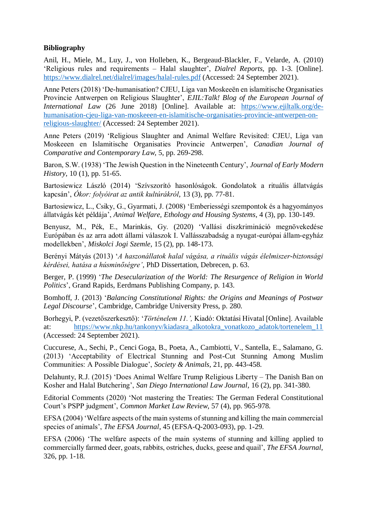## **Bibliography**

Anil, H., Miele, M., Luy, J., von Holleben, K., Bergeaud-Blackler, F., Velarde, A. (2010) 'Religious rules and requirements – Halal slaughter', *Dialrel Reports,* pp. 1-3. [Online]. <https://www.dialrel.net/dialrel/images/halal-rules.pdf> (Accessed: 24 September 2021).

Anne Peters (2018) 'De-humanisation? CJEU, Liga van Moskeeën en islamitische Organisaties Provincie Antwerpen on Religious Slaughter', *EJIL:Talk! Blog of the European Journal of International Law* (26 June 2018) [Online]. Available at: [https://www.ejiltalk.org/de](https://www.ejiltalk.org/de-humanisation-cjeu-liga-van-moskeeen-en-islamitische-organisaties-provincie-antwerpen-on-religious-slaughter/)[humanisation-cjeu-liga-van-moskeeen-en-islamitische-organisaties-provincie-antwerpen-on](https://www.ejiltalk.org/de-humanisation-cjeu-liga-van-moskeeen-en-islamitische-organisaties-provincie-antwerpen-on-religious-slaughter/)[religious-slaughter/](https://www.ejiltalk.org/de-humanisation-cjeu-liga-van-moskeeen-en-islamitische-organisaties-provincie-antwerpen-on-religious-slaughter/) (Accessed: 24 September 2021).

Anne Peters (2019) 'Religious Slaughter and Animal Welfare Revisited: CJEU, Liga van Moskeeen en Islamitische Organisaties Provincie Antwerpen', *Canadian Journal of Comparative and Contemporary Law*, 5, pp. 269-298.

Baron, S.W. (1938) 'The Jewish Question in the Nineteenth Century', *Journal of Early Modern History*, 10 (1), pp. 51-65.

Bartosiewicz László (2014) 'Szívszorító hasonlóságok. Gondolatok a rituális állatvágás kapcsán', *Ókor: folyóirat az antik kultúrákról*, 13 (3), pp. 77-81.

Bartosiewicz, L., Csiky, G., Gyarmati, J. (2008) 'Emberiességi szempontok és a hagyományos állatvágás két példája', *Animal Welfare, Ethology and Housing Systems*, 4 (3), pp. 130-149.

Benyusz, M., Pék, E., Marinkás, Gy. (2020) 'Vallási diszkrimináció megnövekedése Európában és az arra adott állami válaszok I. Vallásszabadság a nyugat-európai állam-egyház modellekben', *Miskolci Jogi Szemle*, 15 (2), pp. 148-173.

Berényi Mátyás (2013) '*A haszonállatok halal vágása, a rituális vágás élelmiszer-biztonsági kérdései, hatása a húsminőségre',* PhD Dissertation, Debrecen, p. 63.

Berger, P. (1999) '*The Desecularization of the World: The Resurgence of Religion in World Politics*', Grand Rapids, Eerdmans Publishing Company, p. 143.

Bomhoff, J. (2013) '*Balancing Constitutional Rights: the Origins and Meanings of Postwar Legal Discourse*', Cambridge, Cambridge University Press, p. 280.

Borhegyi, P. (vezetőszerkesztő): '*Történelem 11.',* Kiadó: Oktatási Hivatal [Online]. Available at: [https://www.nkp.hu/tankonyv/kiadasra\\_alkotokra\\_vonatkozo\\_adatok/tortenelem\\_11](https://www.nkp.hu/tankonyv/kiadasra_alkotokra_vonatkozo_adatok/tortenelem_11) (Accessed: 24 September 2021).

Cuccurese, A., Sechi, P., Cenci Goga, B., Poeta, A., Cambiotti, V., Santella, E., Salamano, G. (2013) 'Acceptability of Electrical Stunning and Post-Cut Stunning Among Muslim Communities: A Possible Dialogue', *Society & Animals*, 21, pp. 443-458.

Delahunty, R.J. (2015) 'Does Animal Welfare Trump Religious Liberty – The Danish Ban on Kosher and Halal Butchering', *San Diego International Law Journal*, 16 (2), pp. 341-380.

Editorial Comments (2020) 'Not mastering the Treaties: The German Federal Constitutional Court's PSPP judgment', *Common Market Law Review*, 57 (4), pp. 965-978.

EFSA (2004) 'Welfare aspects of the main systems of stunning and killing the main commercial species of animals', *The EFSA Journal*, 45 (EFSA-Q-2003-093), pp. 1-29.

EFSA (2006) 'The welfare aspects of the main systems of stunning and killing applied to commercially farmed deer, goats, rabbits, ostriches, ducks, geese and quail', *The EFSA Journal*, 326, pp. 1-18.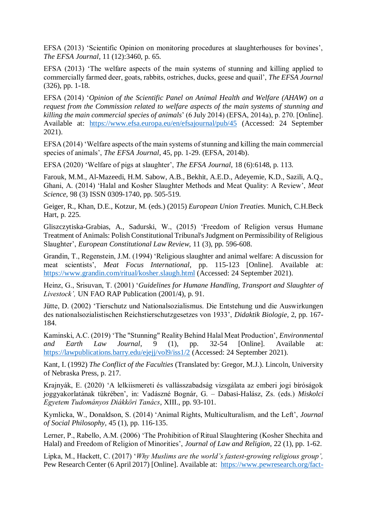EFSA (2013) 'Scientific Opinion on monitoring procedures at slaughterhouses for bovines', *The EFSA Journal*, 11 (12):3460, p. 65.

EFSA (2013) 'The welfare aspects of the main systems of stunning and killing applied to commercially farmed deer, goats, rabbits, ostriches, ducks, geese and quail', *The EFSA Journal* (326), pp. 1-18.

EFSA (2014) '*Opinion of the Scientific Panel on Animal Health and Welfare (AHAW) on a request from the Commission related to welfare aspects of the main systems of stunning and killing the main commercial species of animals*' (6 July 2014) (EFSA, 2014a), p. 270. [Online]. Available at: <https://www.efsa.europa.eu/en/efsajournal/pub/45> (Accessed: 24 September 2021).

EFSA (2014) 'Welfare aspects of the main systems of stunning and killing the main commercial species of animals', *The EFSA Journal*, 45, pp. 1-29. (EFSA, 2014b).

EFSA (2020) 'Welfare of pigs at slaughter', *The EFSA Journal*, 18 (6):6148, p. 113.

Farouk, M.M., Al-Mazeedi, H.M. Sabow, A.B., Bekhit, A.E.D., Adeyemie, K.D., Sazili, A.Q., Ghani, A. (2014) 'Halal and Kosher Slaughter Methods and Meat Quality: A Review', *Meat Science*, 98 (3) ISSN 0309-1740, pp. 505-519.

Geiger, R., Khan, D.E., Kotzur, M. (eds.) (2015) *European Union Treaties.* Munich, C.H.Beck Hart, p. 225.

Gliszczytiska-Grabias, A., Sadurski, W., (2015) 'Freedom of Religion versus Humane Treatment of Animals: Polish Constitutional Tribunal's Judgment on Permissibility of Religious Slaughter', *European Constitutional Law Review*, 11 (3), pp. 596-608.

Grandin, T., Regenstein, J.M. (1994) 'Religious slaughter and animal welfare: A discussion for meat scientists', *Meat Focus International*, pp. 115-123 [Online]. Available at: <https://www.grandin.com/ritual/kosher.slaugh.html> (Accessed: 24 September 2021).

Heinz, G., Srisuvan, T. (2001) '*Guidelines for Humane Handling, Transport and Slaughter of Livestock',* UN FAO RAP Publication (2001/4), p. 91.

Jütte, D. (2002) 'Tierschutz und Nationalsozialismus. Die Entstehung und die Auswirkungen des nationalsozialistischen Reichstierschutzgesetzes von 1933', *Didaktik Biologie*, 2, pp. 167- 184.

Kaminski, A.C. (2019) 'The "Stunning" Reality Behind Halal Meat Production', *Environmental and Earth Law Journal*, 9 (1), pp. 32-54 [Online]. Available at: <https://lawpublications.barry.edu/ejejj/vol9/iss1/2> (Accessed: 24 September 2021).

Kant, I. (1992) *The Conflict of the Faculties* (Translated by: Gregor, M.J.). Lincoln, University of Nebraska Press, p. 217.

Krajnyák, E. (2020) 'A lelkiismereti és vallásszabadság vizsgálata az emberi jogi bíróságok joggyakorlatának tükrében', in: Vadászné Bognár, G. – Dabasi-Halász, Zs. (eds.) *Miskolci Egyetem Tudományos Diákköri Tanács*, XIII., pp. 93-101.

Kymlicka, W., Donaldson, S. (2014) 'Animal Rights, Multiculturalism, and the Left', *Journal of Social Philosophy,* 45 (1), pp. 116-135.

Lerner, P., Rabello, A.M. (2006) 'The Prohibition of Ritual Slaughtering (Kosher Shechita and Halal) and Freedom of Religion of Minorities', *Journal of Law and Religion*, 22 (1), pp. 1-62.

Lipka, M., Hackett, C. (2017) '*Why Muslims are the world's fastest-growing religious group',* Pew Research Center (6 April 2017) [Online]. Available at: [https://www.pewresearch.org/fact-](https://www.pewresearch.org/fact-tank/2017/04/06/why-muslims-are-the-worlds-fastest-growing-religious-group/)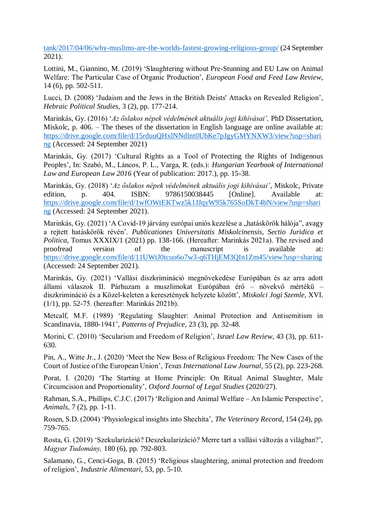[tank/2017/04/06/why-muslims-are-the-worlds-fastest-growing-religious-group/](https://www.pewresearch.org/fact-tank/2017/04/06/why-muslims-are-the-worlds-fastest-growing-religious-group/) (24 September 2021).

Lottini, M., Giannino, M. (2019) 'Slaughtering without Pre-Stunning and EU Law on Animal Welfare: The Particular Case of Organic Production', *European Food and Feed Law Review*, 14 (6), pp. 502-511.

Lucci, D. (2008) 'Judaism and the Jews in the British Deists' Attacks on Revealed Religion', *Hebraic Political Studies,* 3 (2), pp. 177-214.

Marinkás, Gy. (2016) '*Az őslakos népek védelmének aktuális jogi kihívásai',* PhD Dissertation, Miskolc, p. 406. – The theses of the dissertation in English language are online available at: [https://drive.google.com/file/d/15rduuQHxlNNdlnt0UbKe7pJgyGMYNXW3/view?usp=shari](https://drive.google.com/file/d/15rduuQHxlNNdlnt0UbKe7pJgyGMYNXW3/view?usp=sharing) [ng](https://drive.google.com/file/d/15rduuQHxlNNdlnt0UbKe7pJgyGMYNXW3/view?usp=sharing) (Accessed: 24 September 2021)

Marinkás, Gy. (2017) 'Cultural Rights as a Tool of Protecting the Rights of Indigenous Peoples', In: Szabó, M., Láncos, P. L., Varga, R. (eds.): *Hungarian Yearbook of International Law and European Law 2016* (Year of publication: 2017.), pp. 15-38.

Marinkás, Gy. (2018) '*Az őslakos népek védelmének aktuális jogi kihívásai',* Miskolc, Private edition, p. 404. ISBN: 9786150038445 [Online]. Available at: [https://drive.google.com/file/d/1wfOWtEKTwz5k1JJqyW95k765SoDkT4bN/view?usp=shari](https://drive.google.com/file/d/1wfOWtEKTwz5k1JJqyW95k765SoDkT4bN/view?usp=sharing) [ng](https://drive.google.com/file/d/1wfOWtEKTwz5k1JJqyW95k765SoDkT4bN/view?usp=sharing) (Accessed: 24 September 2021).

Marinkás, Gy. (2021) 'A Covid-19 járvány európai uniós kezelése a "hatáskörök hálója", avagy a rejtett hatáskörök révén'. *Publicationes Universitatis Miskolcinensis, Sectio Juridica et Politica*, Tomus XXXIX/1 (2021) pp. 138-166. (Hereafter: Marinkás 2021a). The revised and proofread version of the manuscript is available at: <https://drive.google.com/file/d/11UWtJ0tcuo6o7w3-q6THjEM3QIn1Zm45/view?usp=sharing> (Accessed: 24 September 2021).

Marinkás, Gy. (2021) 'Vallási diszkrimináció megnövekedése Európában és az arra adott állami válaszok II. Párhuzam a muszlimokat Európában érő – növekvő mértékű – diszkrimináció és a Közel-keleten a keresztények helyzete között', *Miskolci Jogi Szemle*, XVI. (1/1), pp. 52-75. (hereafter: Marinkás 2021b).

Metcalf, M.F. (1989) 'Regulating Slaughter: Animal Protection and Antisemitism in Scandinavia, 1880-1941', *Patterns of Prejudice*, 23 (3), pp. 32-48.

Morini, C. (2010) 'Secularism and Freedom of Religion', *Israel Law Review*, 43 (3), pp. 611- 630.

Pin, A., Witte Jr., J. (2020) 'Meet the New Boss of Religious Freedom: The New Cases of the Court of Justice of the European Union', *Texas International Law Journal*, 55 (2), pp. 223-268.

Porat, I. (2020) 'The Starting at Home Principle: On Ritual Animal Slaughter, Male Circumcision and Proportionality', *Oxford Journal of Legal Studies* (2020/27).

Rahman, S.A., Phillips, C.J.C. (2017) 'Religion and Animal Welfare – An Islamic Perspective', *Animals*, 7 (2), pp. 1-11.

Rosen, S.D. (2004) 'Physiological insights into Shechita', *The Veterinary Record*, 154 (24), pp. 759-765.

Rosta, G. (2019) 'Szekularizáció? Deszekularizáció? Merre tart a vallási változás a világban?', *Magyar Tudomány,* 180 (6), pp. 792-803.

Salamano, G., Cenci-Goga, B. (2015) 'Religious slaughtering, animal protection and freedom of religion', *Industrie Alimentari*, 53, pp. 5-10.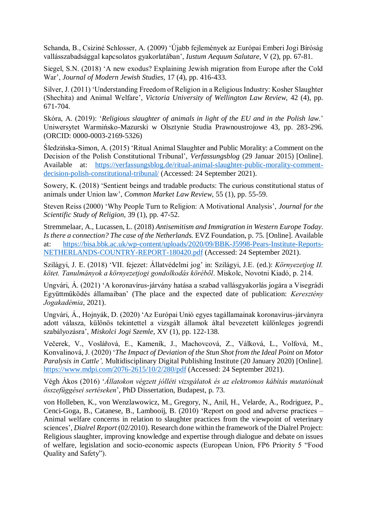Schanda, B., Csiziné Schlosser, A. (2009) 'Újabb fejlemények az Európai Emberi Jogi Bíróság vallásszabadsággal kapcsolatos gyakorlatában', *Iustum Aequum Salutare*, V (2), pp. 67-81.

Siegel, S.N. (2018) 'A new exodus? Explaining Jewish migration from Europe after the Cold War', *Journal of Modern Jewish Studies*, 17 (4), pp. 416-433.

Silver, J. (2011) 'Understanding Freedom of Religion in a Religious Industry: Kosher Slaughter (Shechita) and Animal Welfare', *Victoria University of Wellington Law Review,* 42 (4), pp. 671-704.

Skóra, A. (2019): '*Religious slaughter of animals in light of the EU and in the Polish law*.' Uniwersytet Warmińsko-Mazurski w Olsztynie Studia Prawnoustrojowe 43, pp. 283-296. (ORCID: 0000-0003-2169-5326)

Śledzińska-Simon, A. (2015) 'Ritual Animal Slaughter and Public Morality: a Comment on the Decision of the Polish Constitutional Tribunal', *Verfassungsblog* (29 Januar 2015) [Online]. Available at: [https://verfassungsblog.de/ritual-animal-slaughter-public-morality-comment](https://verfassungsblog.de/ritual-animal-slaughter-public-morality-comment-decision-polish-constitutional-tribunal/)[decision-polish-constitutional-tribunal/](https://verfassungsblog.de/ritual-animal-slaughter-public-morality-comment-decision-polish-constitutional-tribunal/) (Accessed: 24 September 2021).

Sowery, K. (2018) 'Sentient beings and tradable products: The curious constitutional status of animals under Union law', *Common Market Law Review*, 55 (1), pp. 55-59.

Steven Reiss (2000) 'Why People Turn to Religion: A Motivational Analysis', *Journal for the Scientific Study of Religion*, 39 (1), pp. 47-52.

Stremmelaar, A., Lucassen, L. (2018) *Antisemitism and Immigration in Western Europe Today. Is there a connection? The case of the Netherlands.* EVZ Foundation, p. 75. [Online]. Available at: [https://bisa.bbk.ac.uk/wp-content/uploads/2020/09/BBK-J5998-Pears-Institute-Reports-](https://bisa.bbk.ac.uk/wp-content/uploads/2020/09/BBK-J5998-Pears-Institute-Reports-NETHERLANDS-COUNTRY-REPORT-180420.pdf)[NETHERLANDS-COUNTRY-REPORT-180420.pdf](https://bisa.bbk.ac.uk/wp-content/uploads/2020/09/BBK-J5998-Pears-Institute-Reports-NETHERLANDS-COUNTRY-REPORT-180420.pdf) (Accessed: 24 September 2021).

Szilágyi, J. E. (2018) 'VII. fejezet: Állatvédelmi jog' in: Szilágyi, J.E. (ed.): *Környezetjog II. kötet. Tanulmányok a környezetjogi gondolkodás köréből*. Miskolc, Novotni Kiadó, p. 214.

Ungvári, Á. (2021) 'A koronavírus-járvány hatása a szabad vallásgyakorlás jogára a Visegrádi Együttműködés államaiban' (The place and the expected date of publication: *Keresztény Jogakadémia*, 2021).

Ungvári, Á., Hojnyák, D. (2020) 'Az Európai Unió egyes tagállamainak koronavírus-járványra adott válasza, különös tekintettel a vizsgált államok által bevezetett különleges jogrendi szabályozásra', *Miskolci Jogi Szemle*, XV (1), pp. 122-138.

Večerek, V., Voslářová, E., Kameník, J., Machovcová, Z., Válková, L., Volfová, M., Konvalinová, J. (2020) '*The Impact of Deviation of the Stun Shot from the Ideal Point on Motor Paralysis in Cattle',* Multidisciplinary Digital Publishing Institute (20 January 2020) [Online]. <https://www.mdpi.com/2076-2615/10/2/280/pdf> (Accessed: 24 September 2021).

Végh Ákos (2016) '*Állatokon végzett jólléti vizsgálatok és az elektromos kábítás mutatóinak összefüggései sertéseken*', PhD Dissertation, Budapest, p. 73.

von Holleben, K., von Wenzlawowicz, M., Gregory, N., Anil, H., Velarde, A., Rodriguez, P., Cenci-Goga, B., Catanese, B., Lambooij, B. (2010) 'Report on good and adverse practices – Animal welfare concerns in relation to slaughter practices from the viewpoint of veterinary sciences', *Dialrel Report* (02/2010). Research done within the framework of the Dialrel Project: Religious slaughter, improving knowledge and expertise through dialogue and debate on issues of welfare, legislation and socio-economic aspects (European Union, FP6 Priority 5 "Food Quality and Safety").